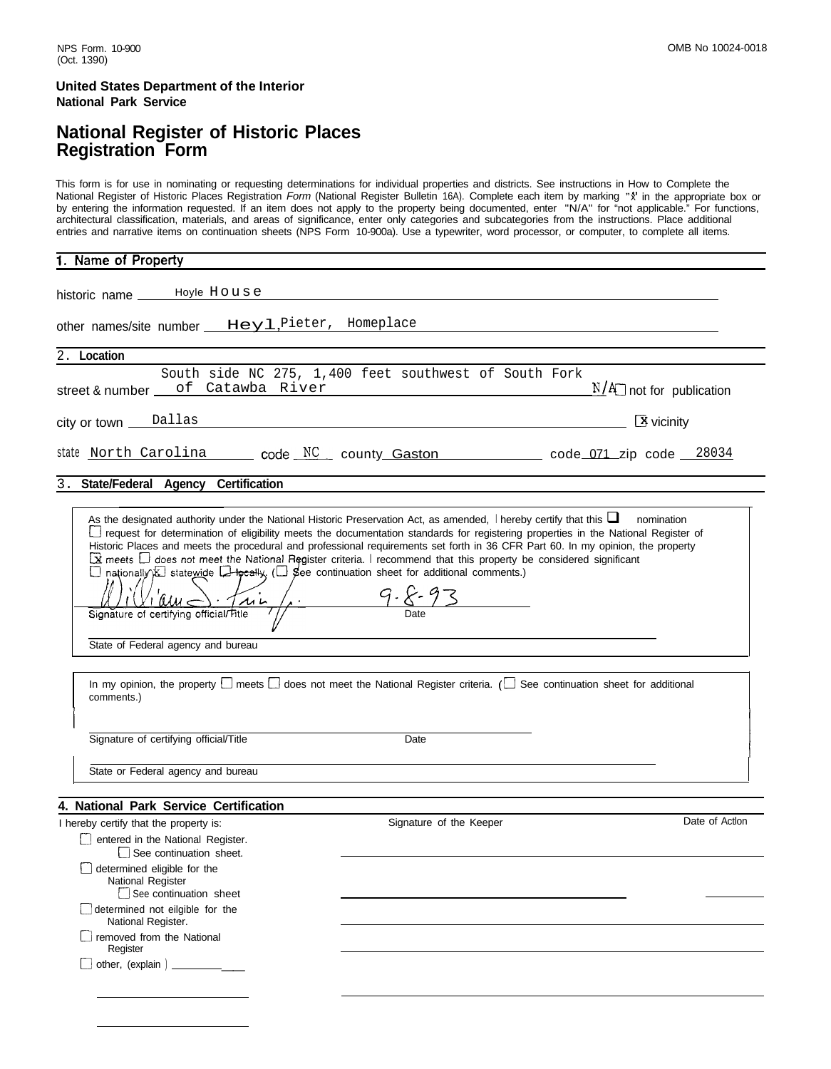### **United States Department of the Interior National Park Service**

### **National Register of Historic Places Registration Form**

This form is for use in nominating or requesting determinations for individual properties and districts. See instructions in How to Complete the National Register of Historic Places Registration *Form* (National Register Bulletin 16A). Complete each item by marking "x" in the appropriate box or by entering the information requested. If an item does not apply to the property being documented, enter "N/A" for "not applicable." For functions, architectural classification, materials, and areas of significance, enter only categories and subcategories from the instructions. Place additional entries and narrative items on continuation sheets (NPS Form 10-900a). Use a typewriter, word processor, or computer, to complete all items.

| 1. Name of Property                                                                                                                                                                                                                                                                                                                                                                                                                                                                                                                                                                                                                                                                                                                                                                                                                                                                                                       |                                           |
|---------------------------------------------------------------------------------------------------------------------------------------------------------------------------------------------------------------------------------------------------------------------------------------------------------------------------------------------------------------------------------------------------------------------------------------------------------------------------------------------------------------------------------------------------------------------------------------------------------------------------------------------------------------------------------------------------------------------------------------------------------------------------------------------------------------------------------------------------------------------------------------------------------------------------|-------------------------------------------|
| historic name ______Hoyle House                                                                                                                                                                                                                                                                                                                                                                                                                                                                                                                                                                                                                                                                                                                                                                                                                                                                                           |                                           |
| other names/site number ___ Heyl, Pieter, Homeplace                                                                                                                                                                                                                                                                                                                                                                                                                                                                                                                                                                                                                                                                                                                                                                                                                                                                       |                                           |
| 2. Location                                                                                                                                                                                                                                                                                                                                                                                                                                                                                                                                                                                                                                                                                                                                                                                                                                                                                                               |                                           |
| South side NC 275, 1,400 feet southwest of South Fork<br>street & number ___ of Catawba River                                                                                                                                                                                                                                                                                                                                                                                                                                                                                                                                                                                                                                                                                                                                                                                                                             | $N/A$ not for publication                 |
| city or town <u>Dallas experience</u> and the control of the control of the control of the control of the control of the control of the control of the control of the control of the control of the control of the control of the c                                                                                                                                                                                                                                                                                                                                                                                                                                                                                                                                                                                                                                                                                       | $\boxed{3}$ vicinity                      |
| state North Carolina code NC county Gaston comes code 071 zip code 28034                                                                                                                                                                                                                                                                                                                                                                                                                                                                                                                                                                                                                                                                                                                                                                                                                                                  |                                           |
| 3. State/Federal Agency Certification                                                                                                                                                                                                                                                                                                                                                                                                                                                                                                                                                                                                                                                                                                                                                                                                                                                                                     |                                           |
| As the designated authority under the National Historic Preservation Act, as amended, I hereby certify that this $\Box$ nomination<br>request for determination of eligibility meets the documentation standards for registering properties in the National Register of<br>Historic Places and meets the procedural and professional requirements set forth in 36 CFR Part 60. In my opinion, the property<br>$\Xi$ meets $\Box$ does not meet the National Register criteria. I recommend that this property be considered significant<br>$\Box$ nationally $\Sigma$ statewide $\square$ beally, ( $\square$ see continuation sheet for additional comments.)<br>Signature of certifying official/Fitle (1)<br>State of Federal agency and bureau<br>In my opinion, the property $\square$ meets $\square$ does not meet the National Register criteria. ( $\square$ See continuation sheet for additional<br>comments.) |                                           |
| Signature of certifying official/Title                                                                                                                                                                                                                                                                                                                                                                                                                                                                                                                                                                                                                                                                                                                                                                                                                                                                                    | Date                                      |
| State or Federal agency and bureau                                                                                                                                                                                                                                                                                                                                                                                                                                                                                                                                                                                                                                                                                                                                                                                                                                                                                        |                                           |
| 4. National Park Service Certification                                                                                                                                                                                                                                                                                                                                                                                                                                                                                                                                                                                                                                                                                                                                                                                                                                                                                    |                                           |
| I hereby certify that the property is:<br>entered in the National Register.<br>See continuation sheet.                                                                                                                                                                                                                                                                                                                                                                                                                                                                                                                                                                                                                                                                                                                                                                                                                    | Date of Action<br>Signature of the Keeper |
| $\Box$ determined eligible for the<br>National Register<br>See continuation sheet                                                                                                                                                                                                                                                                                                                                                                                                                                                                                                                                                                                                                                                                                                                                                                                                                                         |                                           |
| $\Box$ determined not eilgible for the<br>National Register.                                                                                                                                                                                                                                                                                                                                                                                                                                                                                                                                                                                                                                                                                                                                                                                                                                                              |                                           |
| removed from the National<br>Register                                                                                                                                                                                                                                                                                                                                                                                                                                                                                                                                                                                                                                                                                                                                                                                                                                                                                     |                                           |
| $\Box$ other, (explain) $\Box$                                                                                                                                                                                                                                                                                                                                                                                                                                                                                                                                                                                                                                                                                                                                                                                                                                                                                            |                                           |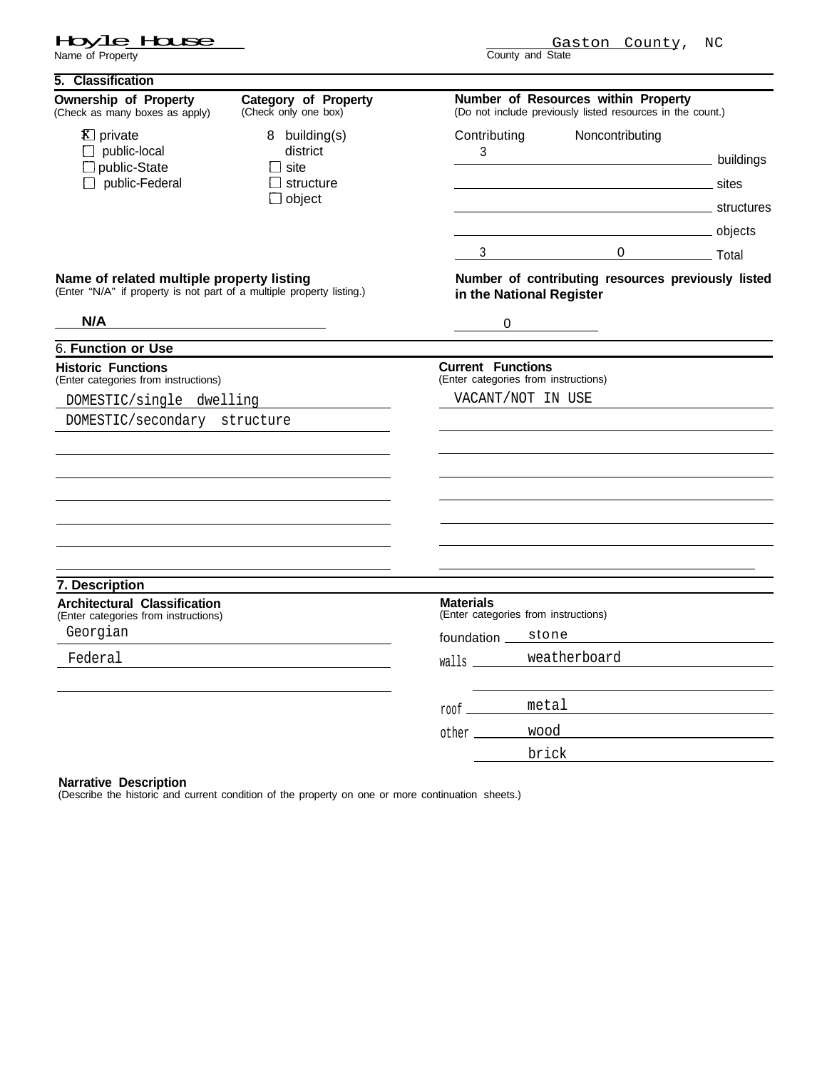Hay Le Hause

| 5. Classification                                                                                                         |                                                                            |                                                                  |                                                                                                   |       |
|---------------------------------------------------------------------------------------------------------------------------|----------------------------------------------------------------------------|------------------------------------------------------------------|---------------------------------------------------------------------------------------------------|-------|
| <b>Ownership of Property</b><br>(Check as many boxes as apply)                                                            | <b>Category of Property</b><br>(Check only one box)                        |                                                                  | Number of Resources within Property<br>(Do not include previously listed resources in the count.) |       |
| <b>X</b> ] private<br>$\Box$ public-local<br>$\square$ public-State<br>$\Box$ public-Federal                              | 8 building(s)<br>district<br>l I site<br>$\Box$ structure<br>$\Box$ object | Contributing<br>3                                                | Noncontributing<br>buildings<br>structures structures                                             | sites |
|                                                                                                                           |                                                                            |                                                                  | bijects<br>0 ___________________ Total<br>$3 \left( \frac{1}{2} \right)$                          |       |
| <b>Name of related multiple property listing</b><br>(Enter "N/A" if property is not part of a multiple property listing.) |                                                                            | in the National Register                                         | Number of contributing resources previously listed                                                |       |
| N/A                                                                                                                       | <u> 1989 - Johann Barbara, martxa alemaniar a</u>                          | 0                                                                |                                                                                                   |       |
| 6. Function or Use                                                                                                        |                                                                            |                                                                  |                                                                                                   |       |
| <b>Historic Functions</b><br>(Enter categories from instructions)                                                         |                                                                            | <b>Current Functions</b><br>(Enter categories from instructions) |                                                                                                   |       |
| DOMESTIC/single dwelling                                                                                                  |                                                                            | VACANT/NOT IN USE                                                |                                                                                                   |       |
| DOMESTIC/secondary structure                                                                                              |                                                                            |                                                                  |                                                                                                   |       |
|                                                                                                                           |                                                                            |                                                                  |                                                                                                   |       |
|                                                                                                                           |                                                                            |                                                                  |                                                                                                   |       |
|                                                                                                                           |                                                                            |                                                                  |                                                                                                   |       |
|                                                                                                                           |                                                                            |                                                                  |                                                                                                   |       |
|                                                                                                                           |                                                                            |                                                                  |                                                                                                   |       |
|                                                                                                                           |                                                                            |                                                                  |                                                                                                   |       |
| 7. Description                                                                                                            |                                                                            |                                                                  |                                                                                                   |       |
| <b>Architectural Classification</b><br>(Enter categories from instructions)                                               |                                                                            | <b>Materials</b><br>(Enter categories from instructions)         |                                                                                                   |       |
| Georgian                                                                                                                  |                                                                            | foundation _                                                     | stone                                                                                             |       |
| Federal                                                                                                                   |                                                                            |                                                                  | weatherboard                                                                                      |       |
|                                                                                                                           |                                                                            |                                                                  |                                                                                                   |       |
|                                                                                                                           |                                                                            | roof ________                                                    | metal                                                                                             |       |
|                                                                                                                           |                                                                            |                                                                  | wood                                                                                              |       |
|                                                                                                                           |                                                                            |                                                                  | brick                                                                                             |       |

### **Narrative Description**

(Describe the historic and current condition of the property on one or more continuation sheets.)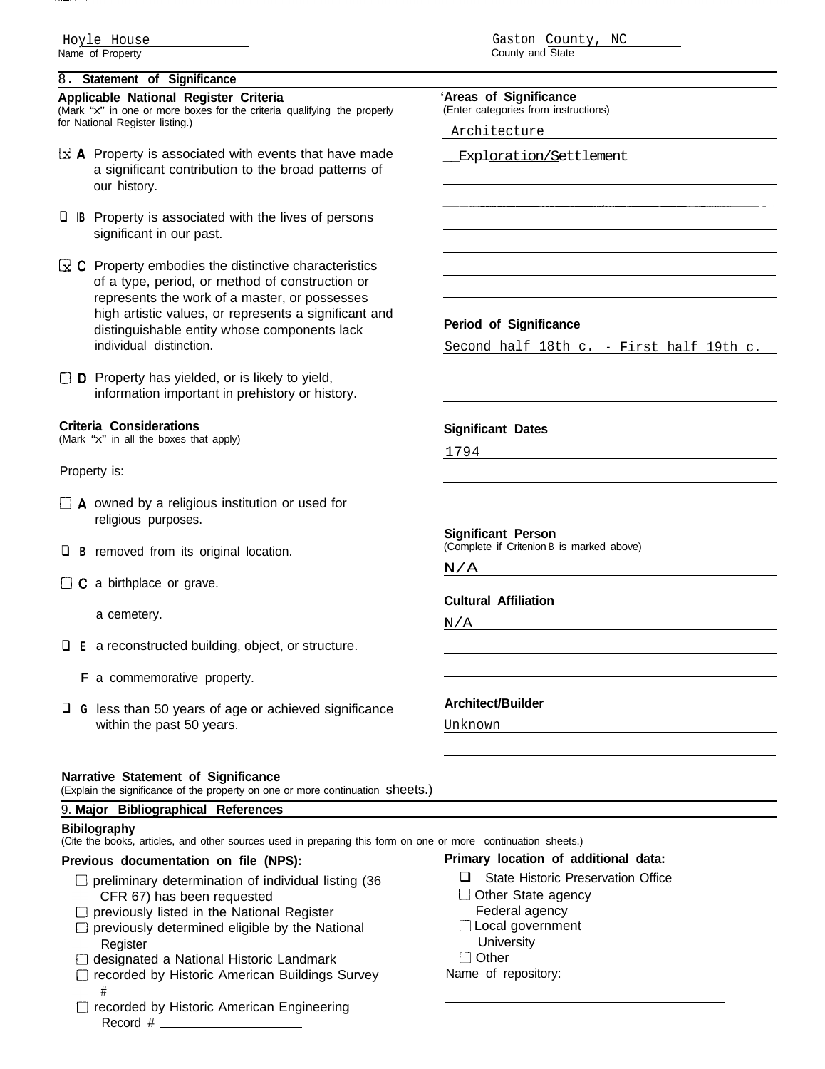### 8. **Statement of Significance**

### **Applicable National Register Criteria**

(Mark "x" in one or more boxes for the criteria qualifying the properly for National Register listing.)

- $\overline{\mathbf{x}}$  **A** Property is associated with events that have made a significant contribution to the broad patterns of our history.
- **I IB** Property is associated with the lives of persons significant in our past.
- **G?C** Property embodies the distinctive characteristics of a type, period, or method of construction or represents the work of a master, or possesses high artistic values, or represents a significant and distinguishable entity whose components lack individual distinction.

**CID** Property has yielded, or is likely to yield, information important in prehistory or history.

### **Criteria Considerations**

(Mark "x" in all the boxes that apply)

Property is:

- **DA** owned by a religious institution or used for religious purposes.
- **Q B** removed from its original location.
- □ **C** a birthplace or grave.

a cemetery.

- □ **E** a reconstructed building, object, or structure.
- **F** a commemorative property.
- **Q** G less than 50 years of age or achieved significance within the past 50 years.

### **Narrative Statement of Significance**

(Explain the significance of the property on one or more continuation sheets.)

### 9. **Major Bibliographical References**

### **Bibilography**

(Cite the books, articles, and other sources used in preparing this form on one or more continuation sheets.)

- $\Box$  preliminary determination of individual listing (36 CFR 67) has been requested
- $\Box$  previously listed in the National Register
- $\square$  previously determined eligible by the National **Register**
- $\Box$  designated a National Historic Landmark
- $\Box$  recorded by Historic American Buildings Survey #
- $\Box$  recorded by Historic American Engineering Record #

# Gaston County, NC

County and State **'Areas of Significance** (Enter categories from instructions) Architecture Exploration/Settlement **Period of Significance** Second half 18th c. - First half 19th c. **Significant Dates** 1794 **Significant Person** (Complete if Critenion B is marked above) N/A **Cultural Affiliation** N/A **Architect/Builder** Unknown

### **Previous documentation on file (NPS): Primary location of additional data:**

- $\Box$  State Historic Preservation Office
- $\Box$  Other State agency
- Federal agency
- $\Box$  Local government
- **University**
- U Other
- Name of repository: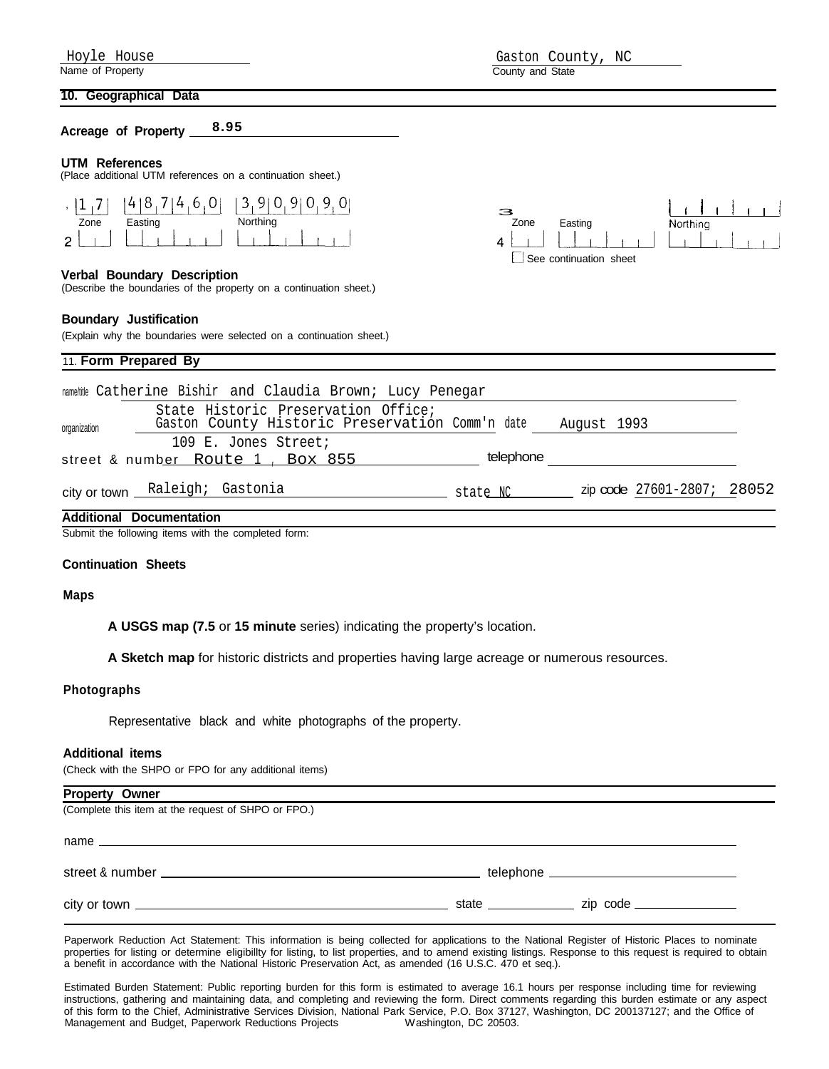### **10. Geographical Data**

**Acreage of Property 8.95**

### **UTM References**

(Place additional UTM references on a continuation sheet.)



### **Verbal Boundary Description**

(Describe the boundaries of the property on a continuation sheet.)

### **Boundary Justification**

(Explain why the boundaries were selected on a continuation sheet.)





### namefitle Catherine Bishir and Claudia Brown; Lucy Penegar State Historic Preservation Office; organization **Gaston County Historic Preservation Comm'n** date August 1993 109 E. Jones Street; street & number Route 1, Box 855 telephone city or town Raleigh; Gastonia **Additional Documentation** state NC \_\_\_\_\_\_\_ zip code 27601-2807; 28052

Submit the following items with the completed form:

### **Continuation Sheets**

### **Maps**

**A USGS map (7.5** or **15 minute** series) indicating the property's location.

**A Sketch map** for historic districts and properties having large acreage or numerous resources.

### **Photographs**

Representative black and white photographs of the property.

### **Additional items**

(Check with the SHPO or FPO for any additional items)

| <b>Property Owner</b>                               |  |
|-----------------------------------------------------|--|
| (Complete this item at the request of SHPO or FPO.) |  |
|                                                     |  |
|                                                     |  |
|                                                     |  |

Paperwork Reduction Act Statement: This information is being collected for applications to the National Register of Historic Places to nominate properties for listing or determine eligibillty for listing, to list properties, and to amend existing listings. Response to this request is required to obtain a benefit in accordance with the National Historic Preservation Act, as amended (16 U.S.C. 470 et seq.).

Estimated Burden Statement: Public reporting burden for this form is estimated to average 16.1 hours per response including time for reviewing instructions, gathering and maintaining data, and completing and reviewing the form. Direct comments regarding this burden estimate or any aspect of this form to the Chief, Administrative Services Division, National Park Service, P.O. Box 37127, Washington, DC 200137127; and the Office of Management and Budget, Paperwork Reductions Projects

Hoyle House Gaston County, NC County and State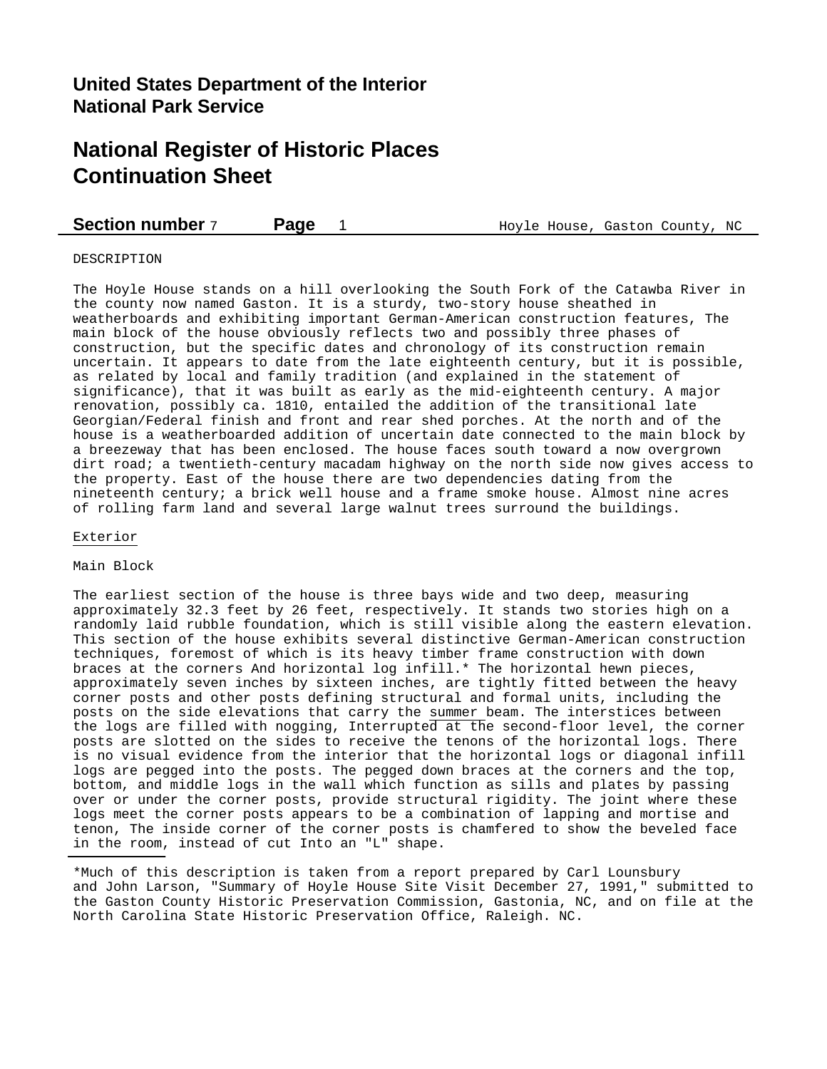## **United States Department of the Interior National Park Service**

## **National Register of Historic Places Continuation Sheet**

### **Section number** 7 **Page** 1 **Hoyle House, Gaston County, NC**

#### DESCRIPTION

The Hoyle House stands on a hill overlooking the South Fork of the Catawba River in the county now named Gaston. It is a sturdy, two-story house sheathed in weatherboards and exhibiting important German-American construction features, The main block of the house obviously reflects two and possibly three phases of construction, but the specific dates and chronology of its construction remain uncertain. It appears to date from the late eighteenth century, but it is possible, as related by local and family tradition (and explained in the statement of significance), that it was built as early as the mid-eighteenth century. A major renovation, possibly ca. 1810, entailed the addition of the transitional late Georgian/Federal finish and front and rear shed porches. At the north and of the house is a weatherboarded addition of uncertain date connected to the main block by a breezeway that has been enclosed. The house faces south toward a now overgrown dirt road; a twentieth-century macadam highway on the north side now gives access to the property. East of the house there are two dependencies dating from the nineteenth century; a brick well house and a frame smoke house. Almost nine acres of rolling farm land and several large walnut trees surround the buildings.

#### Exterior

Main Block

The earliest section of the house is three bays wide and two deep, measuring approximately 32.3 feet by 26 feet, respectively. It stands two stories high on a randomly laid rubble foundation, which is still visible along the eastern elevation. This section of the house exhibits several distinctive German-American construction techniques, foremost of which is its heavy timber frame construction with down braces at the corners And horizontal log infill.\* The horizontal hewn pieces, approximately seven inches by sixteen inches, are tightly fitted between the heavy corner posts and other posts defining structural and formal units, including the posts on the side elevations that carry the summer beam. The interstices between the logs are filled with nogging, Interrupted at the second-floor level, the corner posts are slotted on the sides to receive the tenons of the horizontal logs. There is no visual evidence from the interior that the horizontal logs or diagonal infill logs are pegged into the posts. The pegged down braces at the corners and the top, bottom, and middle logs in the wall which function as sills and plates by passing over or under the corner posts, provide structural rigidity. The joint where these logs meet the corner posts appears to be a combination of lapping and mortise and tenon, The inside corner of the corner posts is chamfered to show the beveled face in the room, instead of cut Into an "L" shape.

\*Much of this description is taken from a report prepared by Carl Lounsbury and John Larson, "Summary of Hoyle House Site Visit December 27, 1991," submitted to the Gaston County Historic Preservation Commission, Gastonia, NC, and on file at the North Carolina State Historic Preservation Office, Raleigh. NC.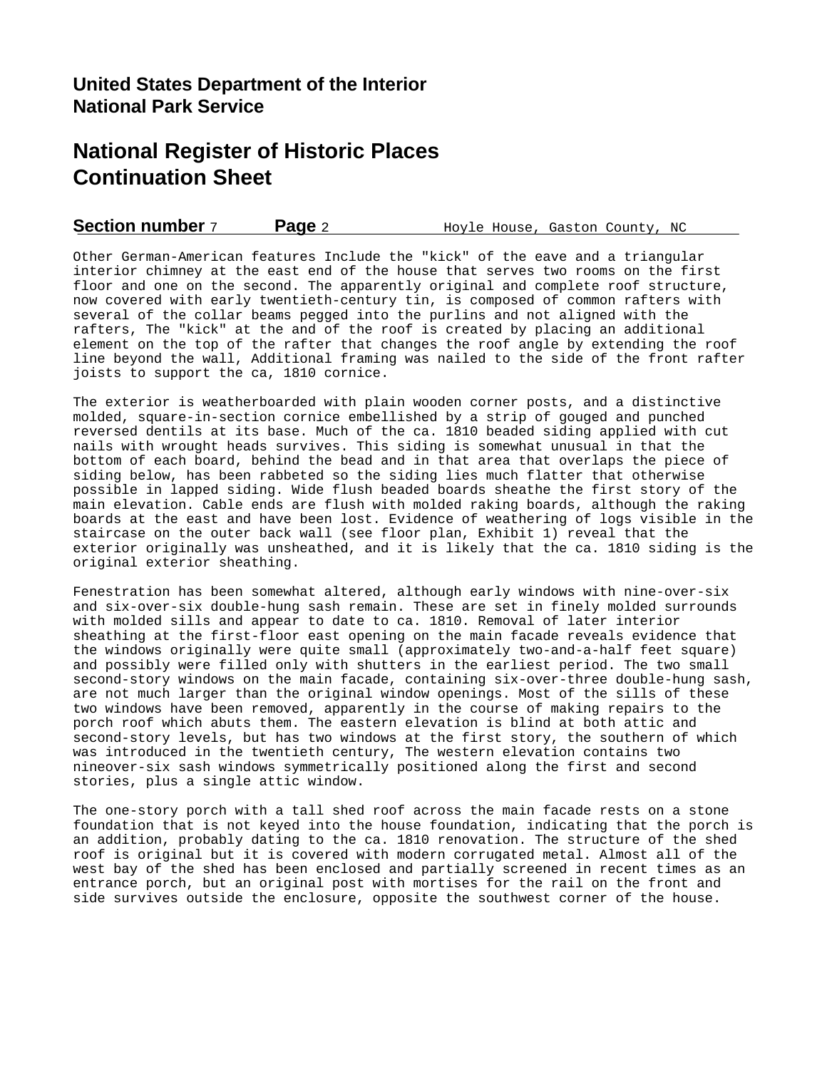## **United States Department of the Interior National Park Service**

## **National Register of Historic Places Continuation Sheet**

**Section number** 7 **Page** 2 **Hoyle House, Gaston County, NC** 

Other German-American features Include the "kick" of the eave and a triangular interior chimney at the east end of the house that serves two rooms on the first floor and one on the second. The apparently original and complete roof structure, now covered with early twentieth-century tin, is composed of common rafters with several of the collar beams pegged into the purlins and not aligned with the rafters, The "kick" at the and of the roof is created by placing an additional element on the top of the rafter that changes the roof angle by extending the roof line beyond the wall, Additional framing was nailed to the side of the front rafter joists to support the ca, 1810 cornice.

The exterior is weatherboarded with plain wooden corner posts, and a distinctive molded, square-in-section cornice embellished by a strip of gouged and punched reversed dentils at its base. Much of the ca. 1810 beaded siding applied with cut nails with wrought heads survives. This siding is somewhat unusual in that the bottom of each board, behind the bead and in that area that overlaps the piece of siding below, has been rabbeted so the siding lies much flatter that otherwise possible in lapped siding. Wide flush beaded boards sheathe the first story of the main elevation. Cable ends are flush with molded raking boards, although the raking boards at the east and have been lost. Evidence of weathering of logs visible in the staircase on the outer back wall (see floor plan, Exhibit 1) reveal that the exterior originally was unsheathed, and it is likely that the ca. 1810 siding is the original exterior sheathing.

Fenestration has been somewhat altered, although early windows with nine-over-six and six-over-six double-hung sash remain. These are set in finely molded surrounds with molded sills and appear to date to ca. 1810. Removal of later interior sheathing at the first-floor east opening on the main facade reveals evidence that the windows originally were quite small (approximately two-and-a-half feet square) and possibly were filled only with shutters in the earliest period. The two small second-story windows on the main facade, containing six-over-three double-hung sash, are not much larger than the original window openings. Most of the sills of these two windows have been removed, apparently in the course of making repairs to the porch roof which abuts them. The eastern elevation is blind at both attic and second-story levels, but has two windows at the first story, the southern of which was introduced in the twentieth century, The western elevation contains two nineover-six sash windows symmetrically positioned along the first and second stories, plus a single attic window.

The one-story porch with a tall shed roof across the main facade rests on a stone foundation that is not keyed into the house foundation, indicating that the porch is an addition, probably dating to the ca. 1810 renovation. The structure of the shed roof is original but it is covered with modern corrugated metal. Almost all of the west bay of the shed has been enclosed and partially screened in recent times as an entrance porch, but an original post with mortises for the rail on the front and side survives outside the enclosure, opposite the southwest corner of the house.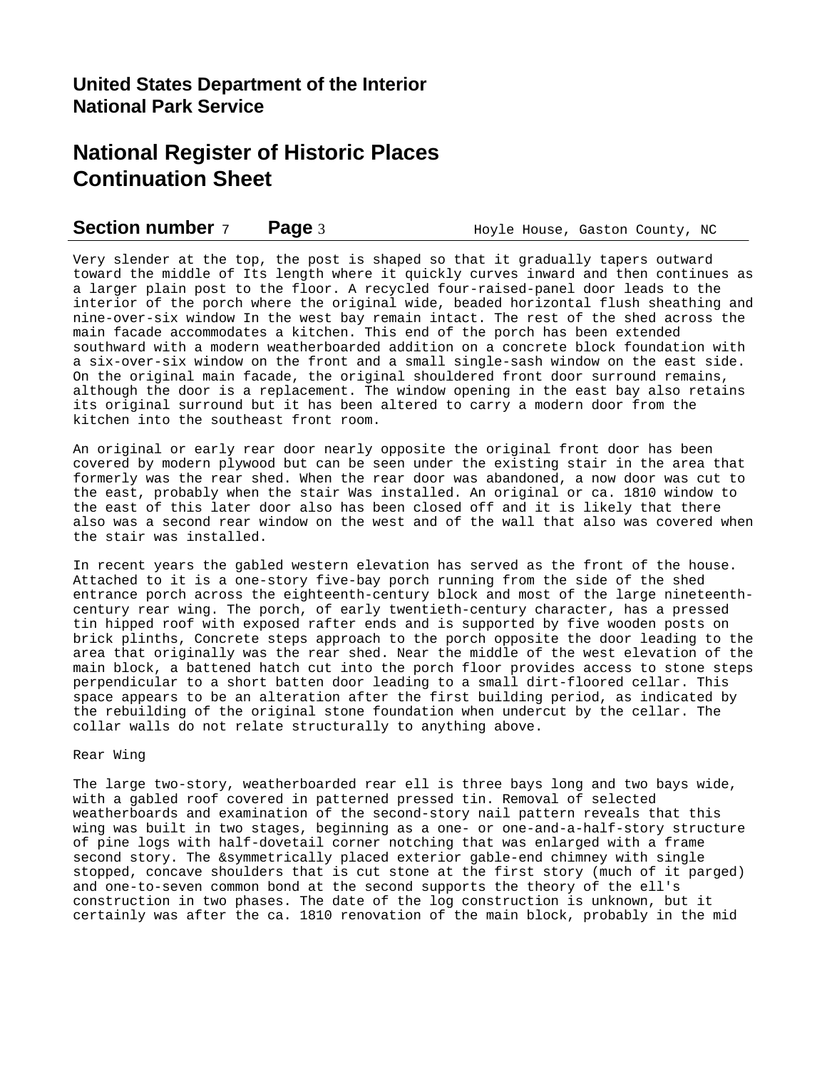### **Section number** 7 **Page** 3 **Hoyle House, Gaston County, NC**

Very slender at the top, the post is shaped so that it gradually tapers outward toward the middle of Its length where it quickly curves inward and then continues as a larger plain post to the floor. A recycled four-raised-panel door leads to the interior of the porch where the original wide, beaded horizontal flush sheathing and nine-over-six window In the west bay remain intact. The rest of the shed across the main facade accommodates a kitchen. This end of the porch has been extended southward with a modern weatherboarded addition on a concrete block foundation with a six-over-six window on the front and a small single-sash window on the east side. On the original main facade, the original shouldered front door surround remains, although the door is a replacement. The window opening in the east bay also retains its original surround but it has been altered to carry a modern door from the kitchen into the southeast front room.

An original or early rear door nearly opposite the original front door has been covered by modern plywood but can be seen under the existing stair in the area that formerly was the rear shed. When the rear door was abandoned, a now door was cut to the east, probably when the stair Was installed. An original or ca. 1810 window to the east of this later door also has been closed off and it is likely that there also was a second rear window on the west and of the wall that also was covered when the stair was installed.

In recent years the gabled western elevation has served as the front of the house. Attached to it is a one-story five-bay porch running from the side of the shed entrance porch across the eighteenth-century block and most of the large nineteenthcentury rear wing. The porch, of early twentieth-century character, has a pressed tin hipped roof with exposed rafter ends and is supported by five wooden posts on brick plinths, Concrete steps approach to the porch opposite the door leading to the area that originally was the rear shed. Near the middle of the west elevation of the main block, a battened hatch cut into the porch floor provides access to stone steps perpendicular to a short batten door leading to a small dirt-floored cellar. This space appears to be an alteration after the first building period, as indicated by the rebuilding of the original stone foundation when undercut by the cellar. The collar walls do not relate structurally to anything above.

### Rear Wing

The large two-story, weatherboarded rear ell is three bays long and two bays wide, with a gabled roof covered in patterned pressed tin. Removal of selected weatherboards and examination of the second-story nail pattern reveals that this wing was built in two stages, beginning as a one- or one-and-a-half-story structure of pine logs with half-dovetail corner notching that was enlarged with a frame second story. The &symmetrically placed exterior gable-end chimney with single stopped, concave shoulders that is cut stone at the first story (much of it parged) and one-to-seven common bond at the second supports the theory of the ell's construction in two phases. The date of the log construction is unknown, but it certainly was after the ca. 1810 renovation of the main block, probably in the mid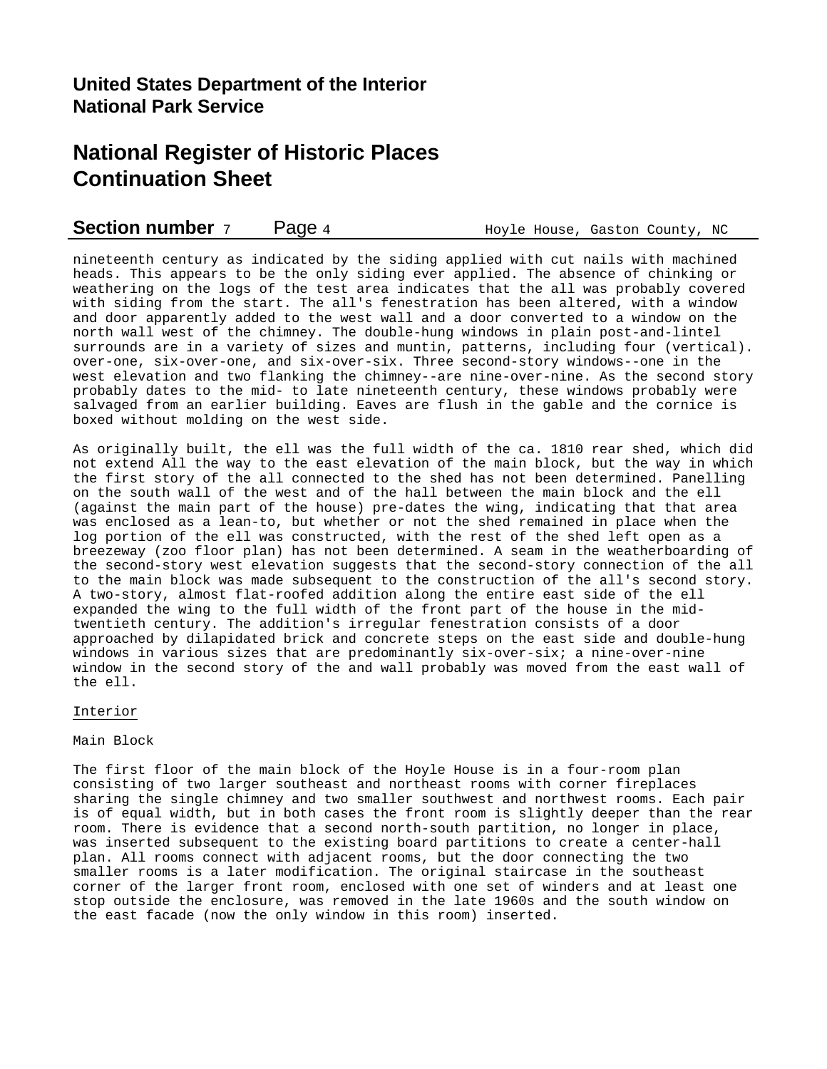| <b>Section number</b> 7<br>Page 4 |  |  |  | Hoyle House, Gaston County, NC |  |
|-----------------------------------|--|--|--|--------------------------------|--|
|-----------------------------------|--|--|--|--------------------------------|--|

nineteenth century as indicated by the siding applied with cut nails with machined heads. This appears to be the only siding ever applied. The absence of chinking or weathering on the logs of the test area indicates that the all was probably covered with siding from the start. The all's fenestration has been altered, with a window and door apparently added to the west wall and a door converted to a window on the north wall west of the chimney. The double-hung windows in plain post-and-lintel surrounds are in a variety of sizes and muntin, patterns, including four (vertical). over-one, six-over-one, and six-over-six. Three second-story windows--one in the west elevation and two flanking the chimney--are nine-over-nine. As the second story probably dates to the mid- to late nineteenth century, these windows probably were salvaged from an earlier building. Eaves are flush in the gable and the cornice is boxed without molding on the west side.

As originally built, the ell was the full width of the ca. 1810 rear shed, which did not extend All the way to the east elevation of the main block, but the way in which the first story of the all connected to the shed has not been determined. Panelling on the south wall of the west and of the hall between the main block and the ell (against the main part of the house) pre-dates the wing, indicating that that area was enclosed as a lean-to, but whether or not the shed remained in place when the log portion of the ell was constructed, with the rest of the shed left open as a breezeway (zoo floor plan) has not been determined. A seam in the weatherboarding of the second-story west elevation suggests that the second-story connection of the all to the main block was made subsequent to the construction of the all's second story. A two-story, almost flat-roofed addition along the entire east side of the ell expanded the wing to the full width of the front part of the house in the midtwentieth century. The addition's irregular fenestration consists of a door approached by dilapidated brick and concrete steps on the east side and double-hung windows in various sizes that are predominantly six-over-six; a nine-over-nine window in the second story of the and wall probably was moved from the east wall of the ell.

### Interior

### Main Block

The first floor of the main block of the Hoyle House is in a four-room plan consisting of two larger southeast and northeast rooms with corner fireplaces sharing the single chimney and two smaller southwest and northwest rooms. Each pair is of equal width, but in both cases the front room is slightly deeper than the rear room. There is evidence that a second north-south partition, no longer in place, was inserted subsequent to the existing board partitions to create a center-hall plan. All rooms connect with adjacent rooms, but the door connecting the two smaller rooms is a later modification. The original staircase in the southeast corner of the larger front room, enclosed with one set of winders and at least one stop outside the enclosure, was removed in the late 1960s and the south window on the east facade (now the only window in this room) inserted.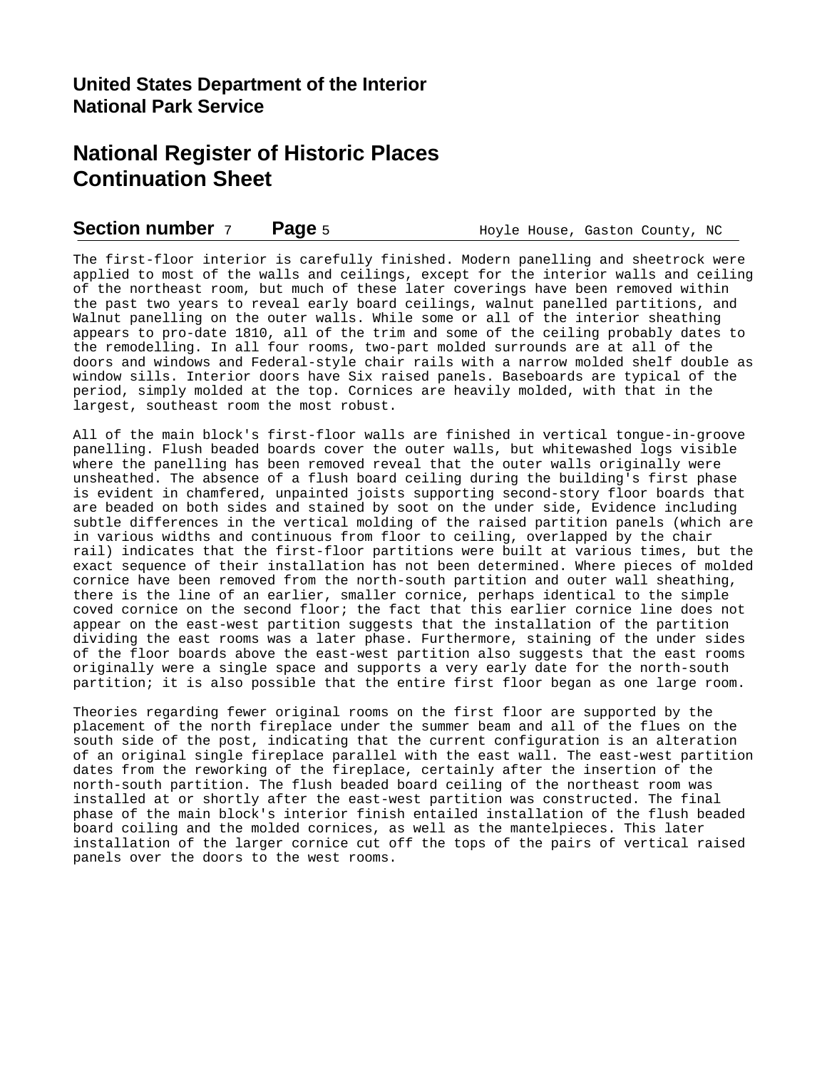### **Section number** 7 **Page** 5 **Hoyle House, Gaston County, NC**

The first-floor interior is carefully finished. Modern panelling and sheetrock were applied to most of the walls and ceilings, except for the interior walls and ceiling of the northeast room, but much of these later coverings have been removed within the past two years to reveal early board ceilings, walnut panelled partitions, and Walnut panelling on the outer walls. While some or all of the interior sheathing appears to pro-date 1810, all of the trim and some of the ceiling probably dates to the remodelling. In all four rooms, two-part molded surrounds are at all of the doors and windows and Federal-style chair rails with a narrow molded shelf double as window sills. Interior doors have Six raised panels. Baseboards are typical of the period, simply molded at the top. Cornices are heavily molded, with that in the largest, southeast room the most robust.

All of the main block's first-floor walls are finished in vertical tongue-in-groove panelling. Flush beaded boards cover the outer walls, but whitewashed logs visible where the panelling has been removed reveal that the outer walls originally were unsheathed. The absence of a flush board ceiling during the building's first phase is evident in chamfered, unpainted joists supporting second-story floor boards that are beaded on both sides and stained by soot on the under side, Evidence including subtle differences in the vertical molding of the raised partition panels (which are in various widths and continuous from floor to ceiling, overlapped by the chair rail) indicates that the first-floor partitions were built at various times, but the exact sequence of their installation has not been determined. Where pieces of molded cornice have been removed from the north-south partition and outer wall sheathing, there is the line of an earlier, smaller cornice, perhaps identical to the simple coved cornice on the second floor; the fact that this earlier cornice line does not appear on the east-west partition suggests that the installation of the partition dividing the east rooms was a later phase. Furthermore, staining of the under sides of the floor boards above the east-west partition also suggests that the east rooms originally were a single space and supports a very early date for the north-south partition; it is also possible that the entire first floor began as one large room.

Theories regarding fewer original rooms on the first floor are supported by the placement of the north fireplace under the summer beam and all of the flues on the south side of the post, indicating that the current configuration is an alteration of an original single fireplace parallel with the east wall. The east-west partition dates from the reworking of the fireplace, certainly after the insertion of the north-south partition. The flush beaded board ceiling of the northeast room was installed at or shortly after the east-west partition was constructed. The final phase of the main block's interior finish entailed installation of the flush beaded board coiling and the molded cornices, as well as the mantelpieces. This later installation of the larger cornice cut off the tops of the pairs of vertical raised panels over the doors to the west rooms.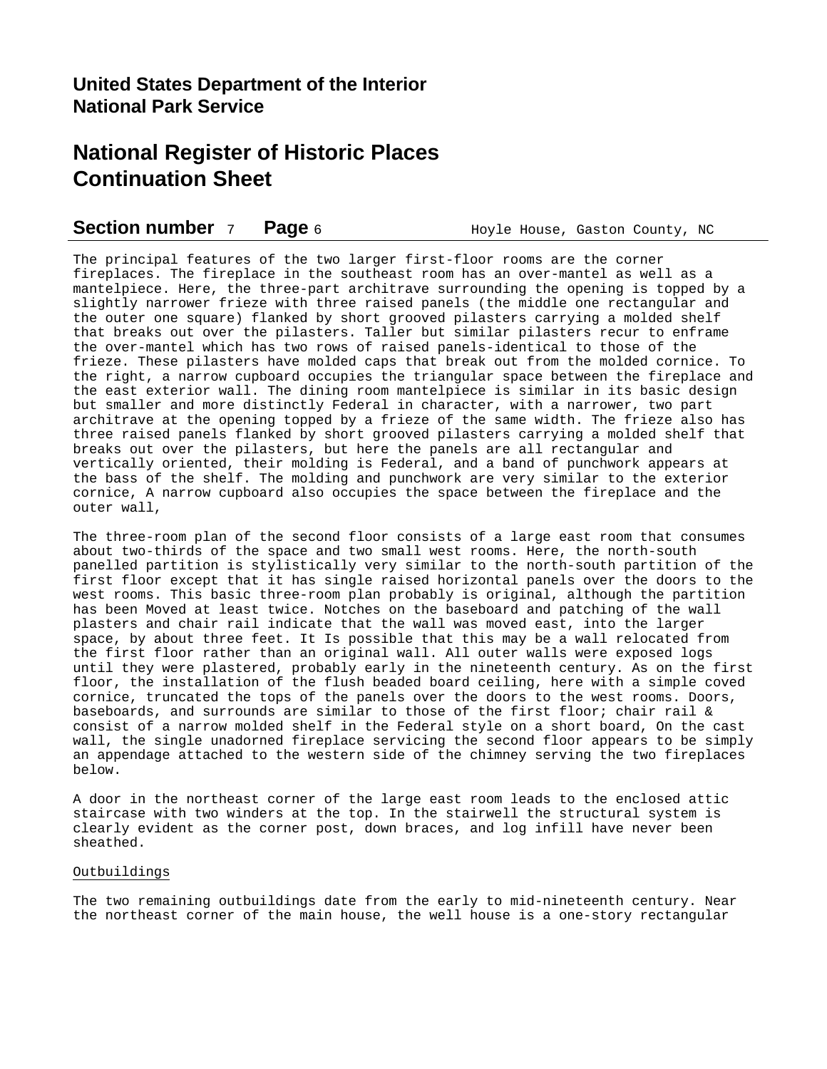### **Section number** 7 **Page** 6 **Hoyle House, Gaston County, NC**

The principal features of the two larger first-floor rooms are the corner fireplaces. The fireplace in the southeast room has an over-mantel as well as a mantelpiece. Here, the three-part architrave surrounding the opening is topped by a slightly narrower frieze with three raised panels (the middle one rectangular and the outer one square) flanked by short grooved pilasters carrying a molded shelf that breaks out over the pilasters. Taller but similar pilasters recur to enframe the over-mantel which has two rows of raised panels-identical to those of the frieze. These pilasters have molded caps that break out from the molded cornice. To the right, a narrow cupboard occupies the triangular space between the fireplace and the east exterior wall. The dining room mantelpiece is similar in its basic design but smaller and more distinctly Federal in character, with a narrower, two part architrave at the opening topped by a frieze of the same width. The frieze also has three raised panels flanked by short grooved pilasters carrying a molded shelf that breaks out over the pilasters, but here the panels are all rectangular and vertically oriented, their molding is Federal, and a band of punchwork appears at the bass of the shelf. The molding and punchwork are very similar to the exterior cornice, A narrow cupboard also occupies the space between the fireplace and the outer wall,

The three-room plan of the second floor consists of a large east room that consumes about two-thirds of the space and two small west rooms. Here, the north-south panelled partition is stylistically very similar to the north-south partition of the first floor except that it has single raised horizontal panels over the doors to the west rooms. This basic three-room plan probably is original, although the partition has been Moved at least twice. Notches on the baseboard and patching of the wall plasters and chair rail indicate that the wall was moved east, into the larger space, by about three feet. It Is possible that this may be a wall relocated from the first floor rather than an original wall. All outer walls were exposed logs until they were plastered, probably early in the nineteenth century. As on the first floor, the installation of the flush beaded board ceiling, here with a simple coved cornice, truncated the tops of the panels over the doors to the west rooms. Doors, baseboards, and surrounds are similar to those of the first floor; chair rail & consist of a narrow molded shelf in the Federal style on a short board, On the cast wall, the single unadorned fireplace servicing the second floor appears to be simply an appendage attached to the western side of the chimney serving the two fireplaces below.

A door in the northeast corner of the large east room leads to the enclosed attic staircase with two winders at the top. In the stairwell the structural system is clearly evident as the corner post, down braces, and log infill have never been sheathed.

### Outbuildings

The two remaining outbuildings date from the early to mid-nineteenth century. Near the northeast corner of the main house, the well house is a one-story rectangular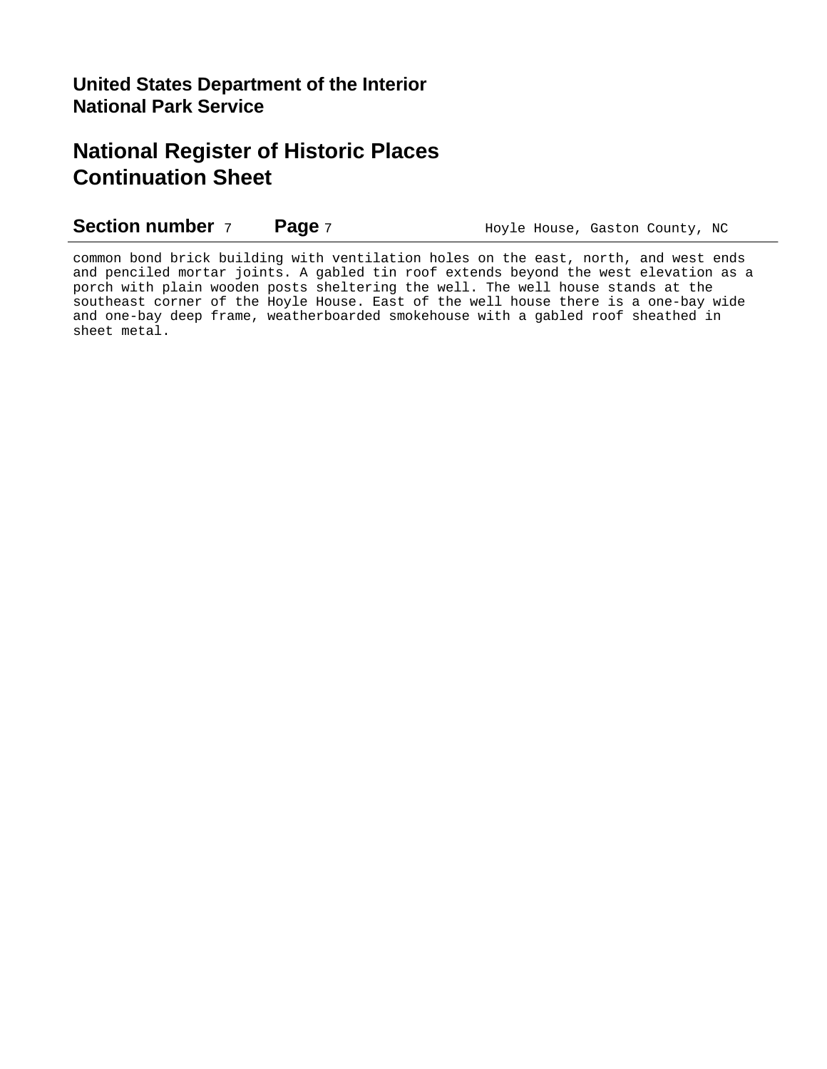**Section number** 7 **Page** 7 **Hoyle House, Gaston County, NC** 

common bond brick building with ventilation holes on the east, north, and west ends and penciled mortar joints. A gabled tin roof extends beyond the west elevation as a porch with plain wooden posts sheltering the well. The well house stands at the southeast corner of the Hoyle House. East of the well house there is a one-bay wide and one-bay deep frame, weatherboarded smokehouse with a gabled roof sheathed in sheet metal.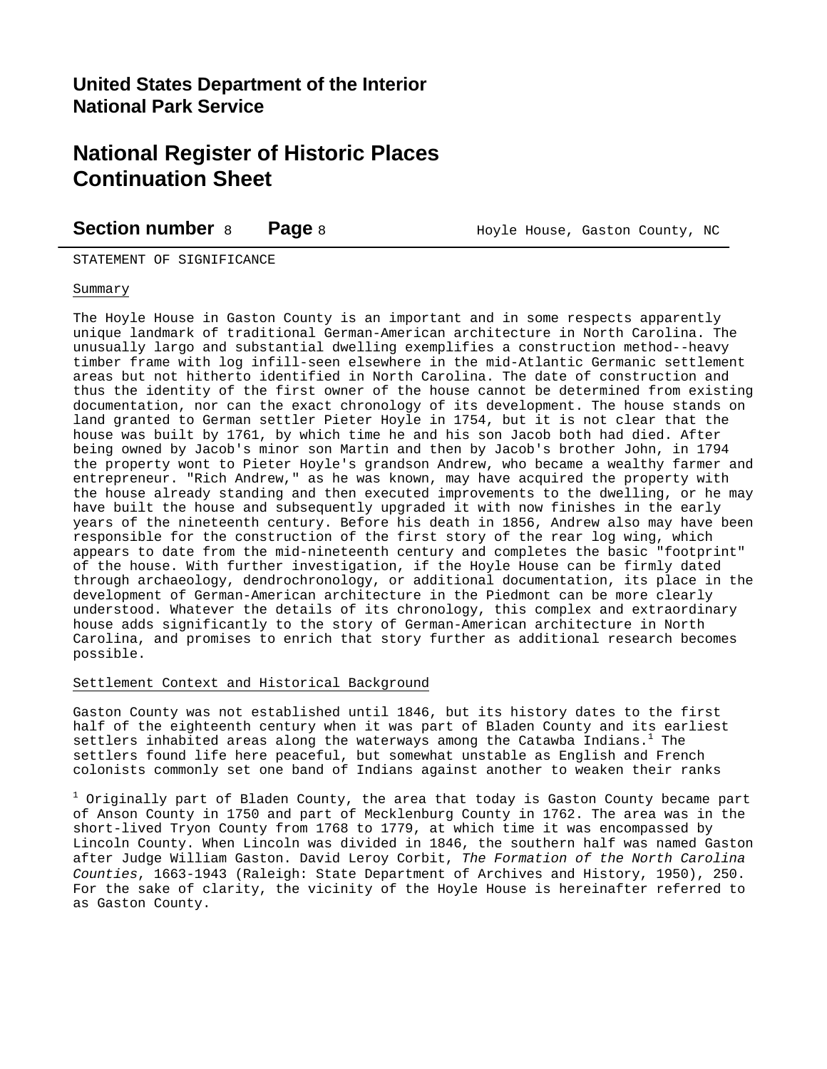**Section number** 8 **Page** 8 **Hoyle House, Gaston County, NC** 

STATEMENT OF SIGNIFICANCE

### Summary

The Hoyle House in Gaston County is an important and in some respects apparently unique landmark of traditional German-American architecture in North Carolina. The unusually largo and substantial dwelling exemplifies a construction method--heavy timber frame with log infill-seen elsewhere in the mid-Atlantic Germanic settlement areas but not hitherto identified in North Carolina. The date of construction and thus the identity of the first owner of the house cannot be determined from existing documentation, nor can the exact chronology of its development. The house stands on land granted to German settler Pieter Hoyle in 1754, but it is not clear that the house was built by 1761, by which time he and his son Jacob both had died. After being owned by Jacob's minor son Martin and then by Jacob's brother John, in 1794 the property wont to Pieter Hoyle's grandson Andrew, who became a wealthy farmer and entrepreneur. "Rich Andrew," as he was known, may have acquired the property with the house already standing and then executed improvements to the dwelling, or he may have built the house and subsequently upgraded it with now finishes in the early years of the nineteenth century. Before his death in 1856, Andrew also may have been responsible for the construction of the first story of the rear log wing, which appears to date from the mid-nineteenth century and completes the basic "footprint" of the house. With further investigation, if the Hoyle House can be firmly dated through archaeology, dendrochronology, or additional documentation, its place in the development of German-American architecture in the Piedmont can be more clearly understood. Whatever the details of its chronology, this complex and extraordinary house adds significantly to the story of German-American architecture in North Carolina, and promises to enrich that story further as additional research becomes possible.

### Settlement Context and Historical Background

Gaston County was not established until 1846, but its history dates to the first half of the eighteenth century when it was part of Bladen County and its earliest settlers inhabited areas along the waterways among the Catawba Indians.<sup>1</sup> The settlers found life here peaceful, but somewhat unstable as English and French colonists commonly set one band of Indians against another to weaken their ranks

 $^{\rm 1}$  Originally part of Bladen County, the area that today is Gaston County became part of Anson County in 1750 and part of Mecklenburg County in 1762. The area was in the short-lived Tryon County from 1768 to 1779, at which time it was encompassed by Lincoln County. When Lincoln was divided in 1846, the southern half was named Gaston after Judge William Gaston. David Leroy Corbit, *The Formation of the North Carolina Counties*, 1663-1943 (Raleigh: State Department of Archives and History, 1950), 250. For the sake of clarity, the vicinity of the Hoyle House is hereinafter referred to as Gaston County.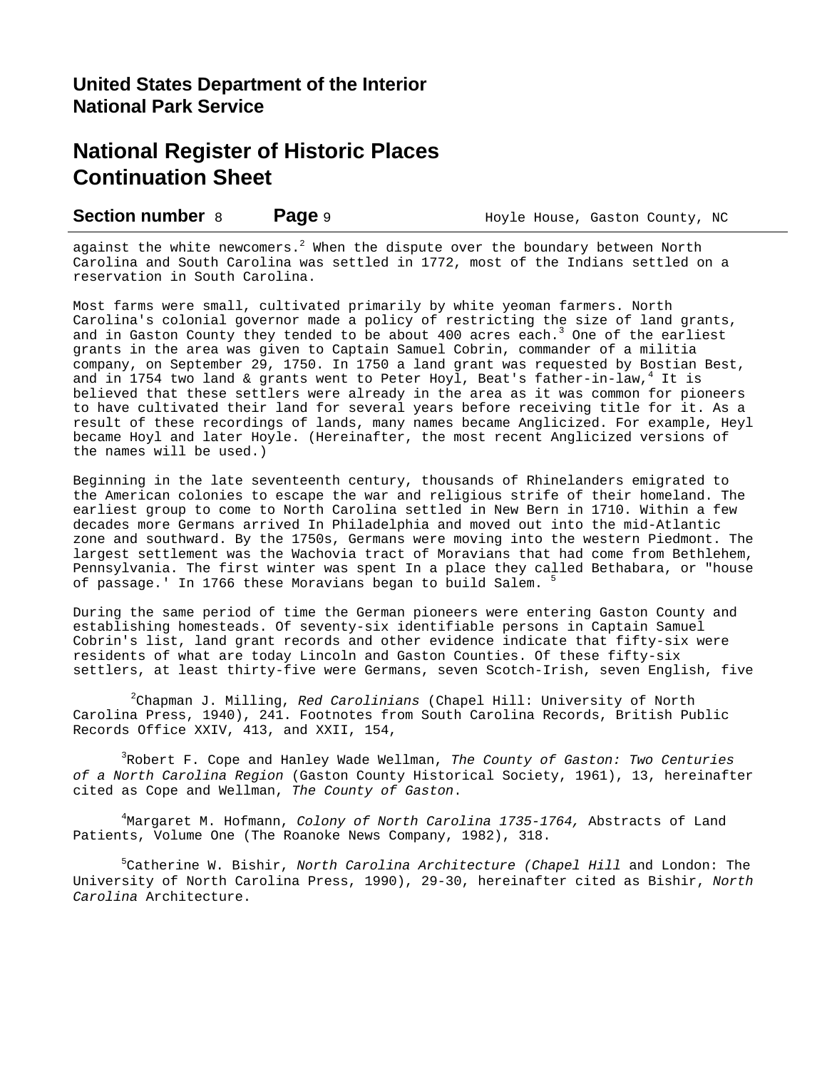**Section number** 8 **Page** 9 **Hoyle House, Gaston County, NC** 

against the white newcomers. $^2$  When the dispute over the boundary between North Carolina and South Carolina was settled in 1772, most of the Indians settled on a reservation in South Carolina.

Most farms were small, cultivated primarily by white yeoman farmers. North Carolina's colonial governor made a policy of restricting the size of land grants, and in Gaston County they tended to be about 400 acres each.<sup>3</sup> One of the earliest grants in the area was given to Captain Samuel Cobrin, commander of a militia company, on September 29, 1750. In 1750 a land grant was requested by Bostian Best, and in 1754 two land & grants went to Peter Hoyl, Beat's father-in-law,<sup>4</sup> It is believed that these settlers were already in the area as it was common for pioneers to have cultivated their land for several years before receiving title for it. As a result of these recordings of lands, many names became Anglicized. For example, Heyl became Hoyl and later Hoyle. (Hereinafter, the most recent Anglicized versions of the names will be used.)

Beginning in the late seventeenth century, thousands of Rhinelanders emigrated to the American colonies to escape the war and religious strife of their homeland. The earliest group to come to North Carolina settled in New Bern in 1710. Within a few decades more Germans arrived In Philadelphia and moved out into the mid-Atlantic zone and southward. By the 1750s, Germans were moving into the western Piedmont. The largest settlement was the Wachovia tract of Moravians that had come from Bethlehem, Pennsylvania. The first winter was spent In a place they called Bethabara, or "house of passage.' In 1766 these Moravians began to build Salem. <sup>5</sup>

During the same period of time the German pioneers were entering Gaston County and establishing homesteads. Of seventy-six identifiable persons in Captain Samuel Cobrin's list, land grant records and other evidence indicate that fifty-six were residents of what are today Lincoln and Gaston Counties. Of these fifty-six settlers, at least thirty-five were Germans, seven Scotch-Irish, seven English, five

2 Chapman J. Milling, *Red Carolinians* (Chapel Hill: University of North Carolina Press, 1940), 241. Footnotes from South Carolina Records, British Public Records Office XXIV, 413, and XXII, 154,

3 Robert F. Cope and Hanley Wade Wellman, *The County of Gaston: Two Centuries of a North Carolina Region* (Gaston County Historical Society, 1961), 13, hereinafter cited as Cope and Wellman, *The County of Gaston*.

4 Margaret M. Hofmann, *Colony of North Carolina 1735-1764,* Abstracts of Land Patients, Volume One (The Roanoke News Company, 1982), 318.

5 Catherine W. Bishir, *North Carolina Architecture (Chapel Hill* and London: The University of North Carolina Press, 1990), 29-30, hereinafter cited as Bishir, *North Carolina* Architecture.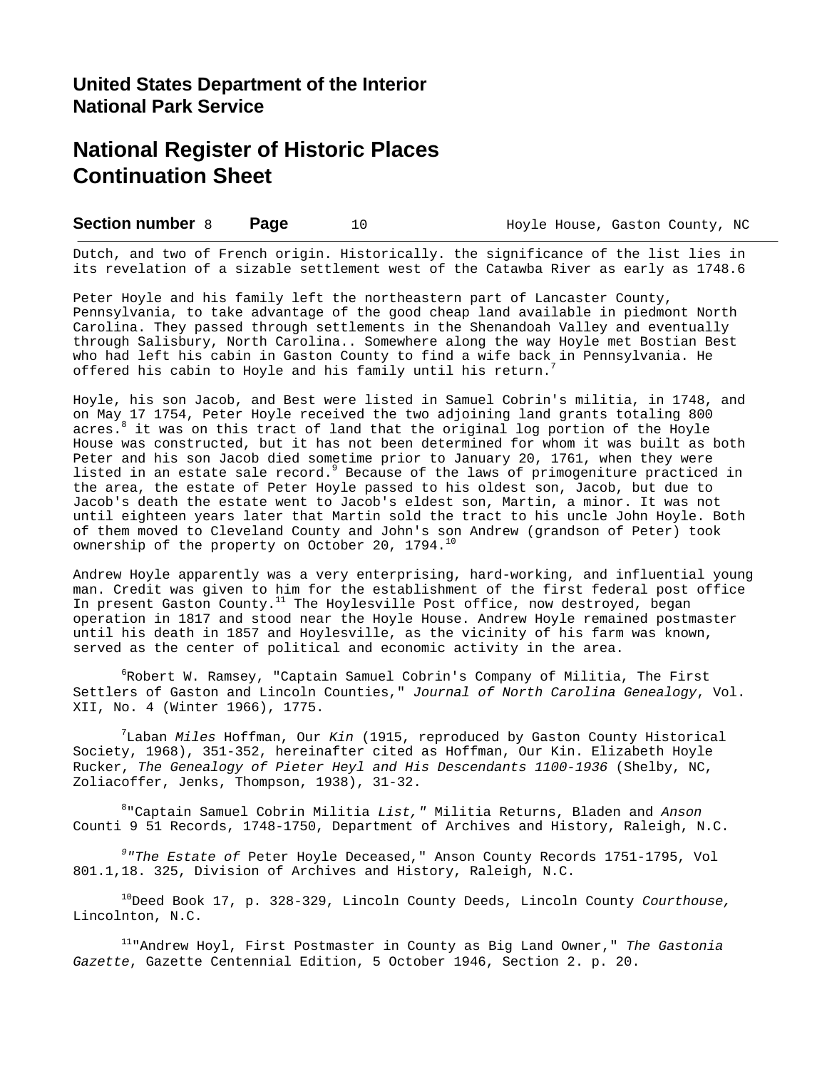**Section number** 8 **Page** 10 **Hoyle House, Gaston County, NC** 

Dutch, and two of French origin. Historically. the significance of the list lies in its revelation of a sizable settlement west of the Catawba River as early as 1748.6

Peter Hoyle and his family left the northeastern part of Lancaster County, Pennsylvania, to take advantage of the good cheap land available in piedmont North Carolina. They passed through settlements in the Shenandoah Valley and eventually through Salisbury, North Carolina.. Somewhere along the way Hoyle met Bostian Best who had left his cabin in Gaston County to find a wife back in Pennsylvania. He offered his cabin to Hoyle and his family until his return.<sup>7</sup>

Hoyle, his son Jacob, and Best were listed in Samuel Cobrin's militia, in 1748, and on May 17 1754, Peter Hoyle received the two adjoining land grants totaling 800 acres. 8 it was on this tract of land that the original log portion of the Hoyle House was constructed, but it has not been determined for whom it was built as both Peter and his son Jacob died sometime prior to January 20, 1761, when they were listed in an estate sale record.<sup>9</sup> Because of the laws of primogeniture practiced in the area, the estate of Peter Hoyle passed to his oldest son, Jacob, but due to Jacob's death the estate went to Jacob's eldest son, Martin, a minor. It was not until eighteen years later that Martin sold the tract to his uncle John Hoyle. Both of them moved to Cleveland County and John's son Andrew (grandson of Peter) took ownership of the property on October 20, 1794.<sup>10</sup>

Andrew Hoyle apparently was a very enterprising, hard-working, and influential young man. Credit was given to him for the establishment of the first federal post office In present Gaston County.<sup>11</sup> The Hoylesville Post office, now destroyed, began operation in 1817 and stood near the Hoyle House. Andrew Hoyle remained postmaster until his death in 1857 and Hoylesville, as the vicinity of his farm was known, served as the center of political and economic activity in the area.

 $^6$ Robert W. Ramsey, "Captain Samuel Cobrin's Company of Militia, The First Settlers of Gaston and Lincoln Counties," *Journal of North Carolina Genealogy*, Vol. XII, No. 4 (Winter 1966), 1775.

7 Laban *Miles* Hoffman, Our *Kin* (1915, reproduced by Gaston County Historical Society, 1968), 351-352, hereinafter cited as Hoffman, Our Kin. Elizabeth Hoyle Rucker, *The Genealogy of Pieter Heyl and His Descendants 1100-1936* (Shelby, NC, Zoliacoffer, Jenks, Thompson, 1938), 31-32.

8 "Captain Samuel Cobrin Militia *List,"* Militia Returns, Bladen and *Anson* Counti 9 51 Records, 1748-1750, Department of Archives and History, Raleigh, N.C.

*9 "The Estate of* Peter Hoyle Deceased," Anson County Records 1751-1795, Vol 801.1,18. 325, Division of Archives and History, Raleigh, N.C.

<sup>10</sup>Deed Book 17, p. 328-329, Lincoln County Deeds, Lincoln County *Courthouse,* Lincolnton, N.C.

<sup>11</sup>"Andrew Hoyl, First Postmaster in County as Big Land Owner," *The Gastonia Gazette*, Gazette Centennial Edition, 5 October 1946, Section 2. p. 20.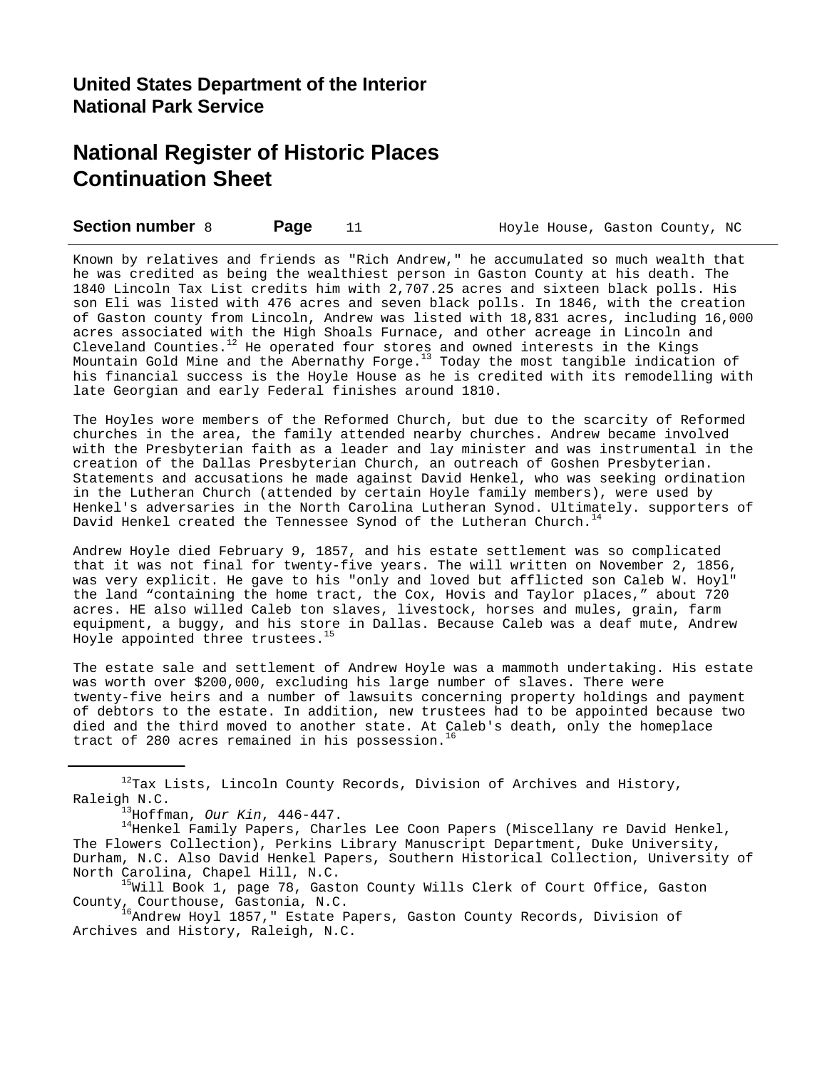**Section number** 8 **Page** 11 **Hoyle House, Gaston County, NC** 

Known by relatives and friends as "Rich Andrew," he accumulated so much wealth that he was credited as being the wealthiest person in Gaston County at his death. The 1840 Lincoln Tax List credits him with 2,707.25 acres and sixteen black polls. His son Eli was listed with 476 acres and seven black polls. In 1846, with the creation of Gaston county from Lincoln, Andrew was listed with 18,831 acres, including 16,000 acres associated with the High Shoals Furnace, and other acreage in Lincoln and Cleveland Counties. $12$  He operated four stores and owned interests in the Kings Mountain Gold Mine and the Abernathy Forge. $13$  Today the most tangible indication of his financial success is the Hoyle House as he is credited with its remodelling with late Georgian and early Federal finishes around 1810.

The Hoyles wore members of the Reformed Church, but due to the scarcity of Reformed churches in the area, the family attended nearby churches. Andrew became involved with the Presbyterian faith as a leader and lay minister and was instrumental in the creation of the Dallas Presbyterian Church, an outreach of Goshen Presbyterian. Statements and accusations he made against David Henkel, who was seeking ordination in the Lutheran Church (attended by certain Hoyle family members), were used by Henkel's adversaries in the North Carolina Lutheran Synod. Ultimately. supporters of David Henkel created the Tennessee Synod of the Lutheran Church. $14$ 

Andrew Hoyle died February 9, 1857, and his estate settlement was so complicated that it was not final for twenty-five years. The will written on November 2, 1856, was very explicit. He gave to his "only and loved but afflicted son Caleb W. Hoyl" the land "containing the home tract, the Cox, Hovis and Taylor places," about 720 acres. HE also willed Caleb ton slaves, livestock, horses and mules, grain, farm equipment, a buggy, and his store in Dallas. Because Caleb was a deaf mute, Andrew Hoyle appointed three trustees.<sup>15</sup>

The estate sale and settlement of Andrew Hoyle was a mammoth undertaking. His estate was worth over \$200,000, excluding his large number of slaves. There were twenty-five heirs and a number of lawsuits concerning property holdings and payment of debtors to the estate. In addition, new trustees had to be appointed because two died and the third moved to another state. At Caleb's death, only the homeplace tract of 280 acres remained in his possession.<sup>16</sup>

 $12$ Tax Lists, Lincoln County Records, Division of Archives and History, Raleigh N.C.

<sup>15</sup>Will Book 1, page 78, Gaston County Wills Clerk of Court Office, Gaston County, Courthouse, Gastonia, N.C.

<sup>16</sup>Andrew Hoyl 1857," Estate Papers, Gaston County Records, Division of Archives and History, Raleigh, N.C.

<sup>13</sup>Hoffman, *Our Kin*, 446-447.

 $14$ Henkel Family Papers, Charles Lee Coon Papers (Miscellany re David Henkel, The Flowers Collection), Perkins Library Manuscript Department, Duke University, Durham, N.C. Also David Henkel Papers, Southern Historical Collection, University of North Carolina, Chapel Hill, N.C.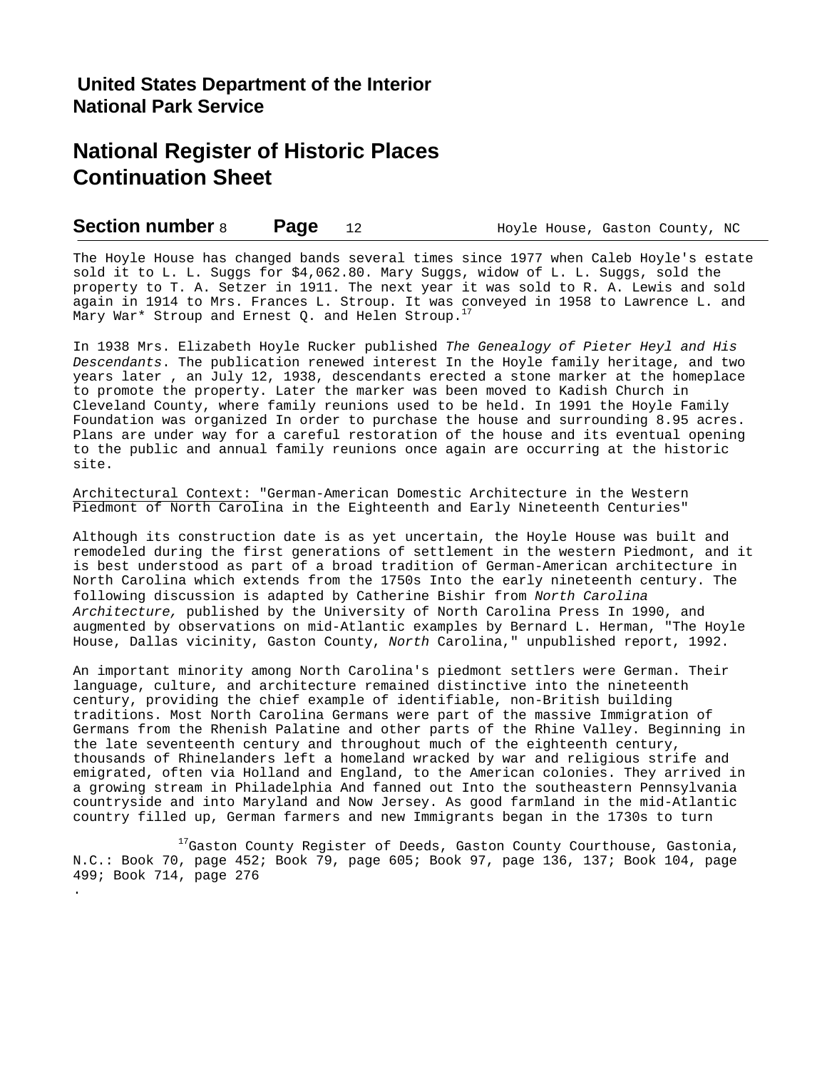.

**Section number** 8 **Page** 12 **Hoyle House, Gaston County, NC** 

The Hoyle House has changed bands several times since 1977 when Caleb Hoyle's estate sold it to L. L. Suggs for \$4,062.80. Mary Suggs, widow of L. L. Suggs, sold the property to T. A. Setzer in 1911. The next year it was sold to R. A. Lewis and sold again in 1914 to Mrs. Frances L. Stroup. It was conveyed in 1958 to Lawrence L. and Mary War\* Stroup and Ernest Q. and Helen Stroup.<sup>17</sup>

In 1938 Mrs. Elizabeth Hoyle Rucker published *The Genealogy of Pieter Heyl and His Descendants*. The publication renewed interest In the Hoyle family heritage, and two years later , an July 12, 1938, descendants erected a stone marker at the homeplace to promote the property. Later the marker was been moved to Kadish Church in Cleveland County, where family reunions used to be held. In 1991 the Hoyle Family Foundation was organized In order to purchase the house and surrounding 8.95 acres. Plans are under way for a careful restoration of the house and its eventual opening to the public and annual family reunions once again are occurring at the historic site.

Architectural Context: "German-American Domestic Architecture in the Western Piedmont of North Carolina in the Eighteenth and Early Nineteenth Centuries"

Although its construction date is as yet uncertain, the Hoyle House was built and remodeled during the first generations of settlement in the western Piedmont, and it is best understood as part of a broad tradition of German-American architecture in North Carolina which extends from the 1750s Into the early nineteenth century. The following discussion is adapted by Catherine Bishir from *North Carolina Architecture,* published by the University of North Carolina Press In 1990, and augmented by observations on mid-Atlantic examples by Bernard L. Herman, "The Hoyle House, Dallas vicinity, Gaston County, *North* Carolina," unpublished report, 1992.

An important minority among North Carolina's piedmont settlers were German. Their language, culture, and architecture remained distinctive into the nineteenth century, providing the chief example of identifiable, non-British building traditions. Most North Carolina Germans were part of the massive Immigration of Germans from the Rhenish Palatine and other parts of the Rhine Valley. Beginning in the late seventeenth century and throughout much of the eighteenth century, thousands of Rhinelanders left a homeland wracked by war and religious strife and emigrated, often via Holland and England, to the American colonies. They arrived in a growing stream in Philadelphia And fanned out Into the southeastern Pennsylvania countryside and into Maryland and Now Jersey. As good farmland in the mid-Atlantic country filled up, German farmers and new Immigrants began in the 1730s to turn

 $17$ Gaston County Register of Deeds, Gaston County Courthouse, Gastonia, N.C.: Book 70, page 452; Book 79, page 605; Book 97, page 136, 137; Book 104, page 499; Book 714, page 276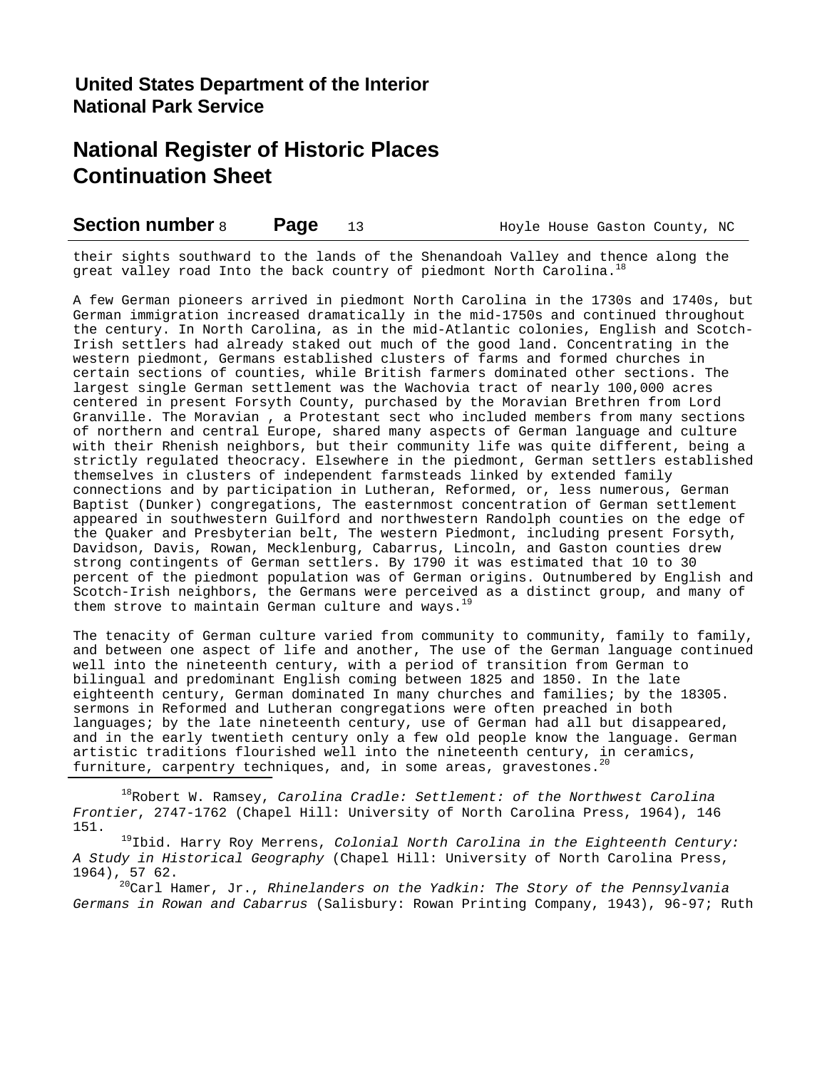| <b>Section number 8</b><br>Page |  | Hoyle House Gaston County, NC |  |  |  |
|---------------------------------|--|-------------------------------|--|--|--|
|---------------------------------|--|-------------------------------|--|--|--|

their sights southward to the lands of the Shenandoah Valley and thence along the great valley road Into the back country of piedmont North Carolina.<sup>1</sup>

A few German pioneers arrived in piedmont North Carolina in the 1730s and 1740s, but German immigration increased dramatically in the mid-1750s and continued throughout the century. In North Carolina, as in the mid-Atlantic colonies, English and Scotch-Irish settlers had already staked out much of the good land. Concentrating in the western piedmont, Germans established clusters of farms and formed churches in certain sections of counties, while British farmers dominated other sections. The largest single German settlement was the Wachovia tract of nearly 100,000 acres centered in present Forsyth County, purchased by the Moravian Brethren from Lord Granville. The Moravian , a Protestant sect who included members from many sections of northern and central Europe, shared many aspects of German language and culture with their Rhenish neighbors, but their community life was quite different, being a strictly regulated theocracy. Elsewhere in the piedmont, German settlers established themselves in clusters of independent farmsteads linked by extended family connections and by participation in Lutheran, Reformed, or, less numerous, German Baptist (Dunker) congregations, The easternmost concentration of German settlement appeared in southwestern Guilford and northwestern Randolph counties on the edge of the Quaker and Presbyterian belt, The western Piedmont, including present Forsyth, Davidson, Davis, Rowan, Mecklenburg, Cabarrus, Lincoln, and Gaston counties drew strong contingents of German settlers. By 1790 it was estimated that 10 to 30 percent of the piedmont population was of German origins. Outnumbered by English and Scotch-Irish neighbors, the Germans were perceived as a distinct group, and many of them strove to maintain German culture and ways.

The tenacity of German culture varied from community to community, family to family, and between one aspect of life and another, The use of the German language continued well into the nineteenth century, with a period of transition from German to bilingual and predominant English coming between 1825 and 1850. In the late eighteenth century, German dominated In many churches and families; by the 18305. sermons in Reformed and Lutheran congregations were often preached in both languages; by the late nineteenth century, use of German had all but disappeared, and in the early twentieth century only a few old people know the language. German artistic traditions flourished well into the nineteenth century, in ceramics, furniture, carpentry techniques, and, in some areas, gravestones.<sup>20</sup>

<sup>18</sup>Robert W. Ramsey, *Carolina Cradle: Settlement: of the Northwest Carolina Frontier*, 2747-1762 (Chapel Hill: University of North Carolina Press, 1964), 146 151.

<sup>19</sup>Ibid. Harry Roy Merrens, *Colonial North Carolina in the Eighteenth Century: A Study in Historical Geography* (Chapel Hill: University of North Carolina Press, 1964), 57 62.

<sup>20</sup>Carl Hamer, Jr., *Rhinelanders on the Yadkin: The Story of the Pennsylvania Germans in Rowan and Cabarrus* (Salisbury: Rowan Printing Company, 1943), 96-97; Ruth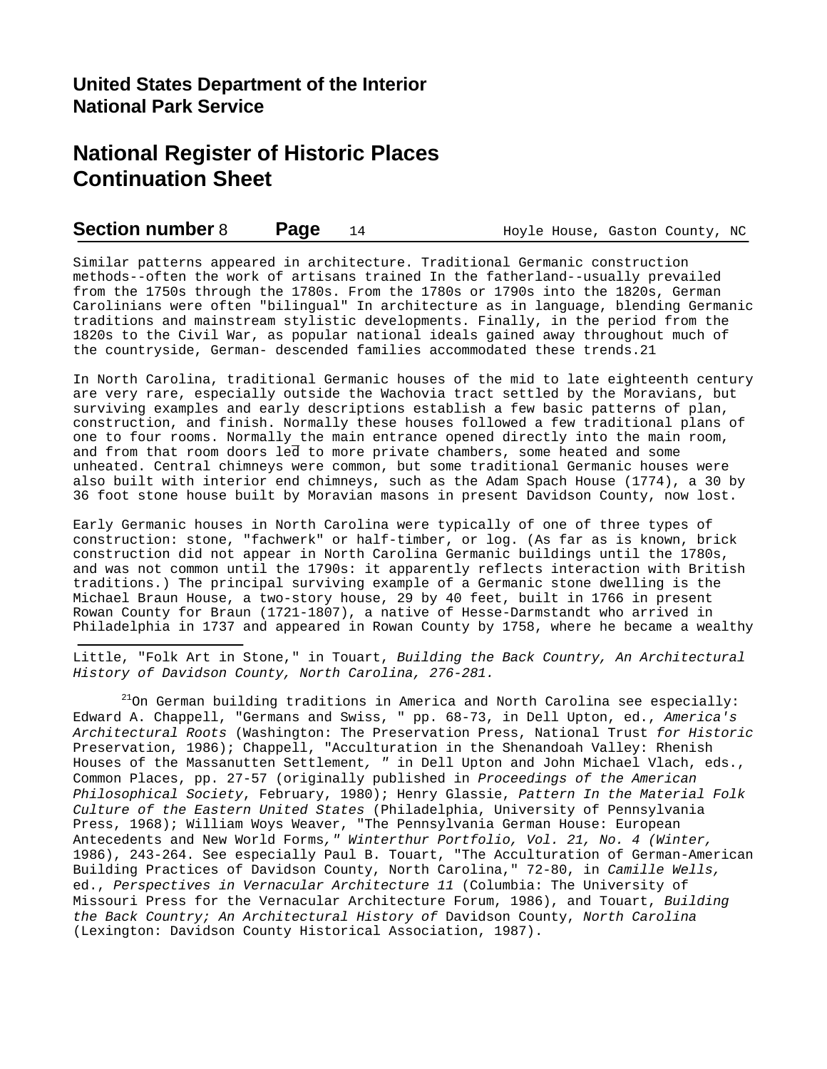### **Section number** 8 **Page** 14 **Hoyle House, Gaston County, NC**

Similar patterns appeared in architecture. Traditional Germanic construction methods--often the work of artisans trained In the fatherland--usually prevailed from the 1750s through the 1780s. From the 1780s or 1790s into the 1820s, German Carolinians were often "bilingual" In architecture as in language, blending Germanic traditions and mainstream stylistic developments. Finally, in the period from the 1820s to the Civil War, as popular national ideals gained away throughout much of the countryside, German- descended families accommodated these trends.21

In North Carolina, traditional Germanic houses of the mid to late eighteenth century are very rare, especially outside the Wachovia tract settled by the Moravians, but surviving examples and early descriptions establish a few basic patterns of plan, construction, and finish. Normally these houses followed a few traditional plans of one to four rooms. Normally the main entrance opened directly into the main room, and from that room doors led to more private chambers, some heated and some unheated. Central chimneys were common, but some traditional Germanic houses were also built with interior end chimneys, such as the Adam Spach House (1774), a 30 by 36 foot stone house built by Moravian masons in present Davidson County, now lost.

Early Germanic houses in North Carolina were typically of one of three types of construction: stone, "fachwerk" or half-timber, or log. (As far as is known, brick construction did not appear in North Carolina Germanic buildings until the 1780s, and was not common until the 1790s: it apparently reflects interaction with British traditions.) The principal surviving example of a Germanic stone dwelling is the Michael Braun House, a two-story house, 29 by 40 feet, built in 1766 in present Rowan County for Braun (1721-1807), a native of Hesse-Darmstandt who arrived in Philadelphia in 1737 and appeared in Rowan County by 1758, where he became a wealthy

Little, "Folk Art in Stone," in Touart, *Building the Back Country, An Architectural History of Davidson County, North Carolina, 276-281.*

 $21$ On German building traditions in America and North Carolina see especially: Edward A. Chappell, "Germans and Swiss, " pp. 68-73, in Dell Upton, ed., *America's Architectural Roots* (Washington: The Preservation Press, National Trust *for Historic* Preservation, 1986); Chappell, "Acculturation in the Shenandoah Valley: Rhenish Houses of the Massanutten Settlement*, "* in Dell Upton and John Michael Vlach, eds., Common Places, pp. 27-57 (originally published in *Proceedings of the American Philosophical Society*, February, 1980); Henry Glassie, *Pattern In the Material Folk Culture of the Eastern United States* (Philadelphia, University of Pennsylvania Press, 1968); William Woys Weaver, "The Pennsylvania German House: European Antecedents and New World Forms*," Winterthur Portfolio, Vol. 21, No. 4 (Winter,* 1986), 243-264. See especially Paul B. Touart, "The Acculturation of German-American Building Practices of Davidson County, North Carolina," 72-80, in *Camille Wells,* ed., *Perspectives in Vernacular Architecture 11* (Columbia: The University of Missouri Press for the Vernacular Architecture Forum, 1986), and Touart, *Building the Back Country; An Architectural History of* Davidson County, *North Carolina* (Lexington: Davidson County Historical Association, 1987).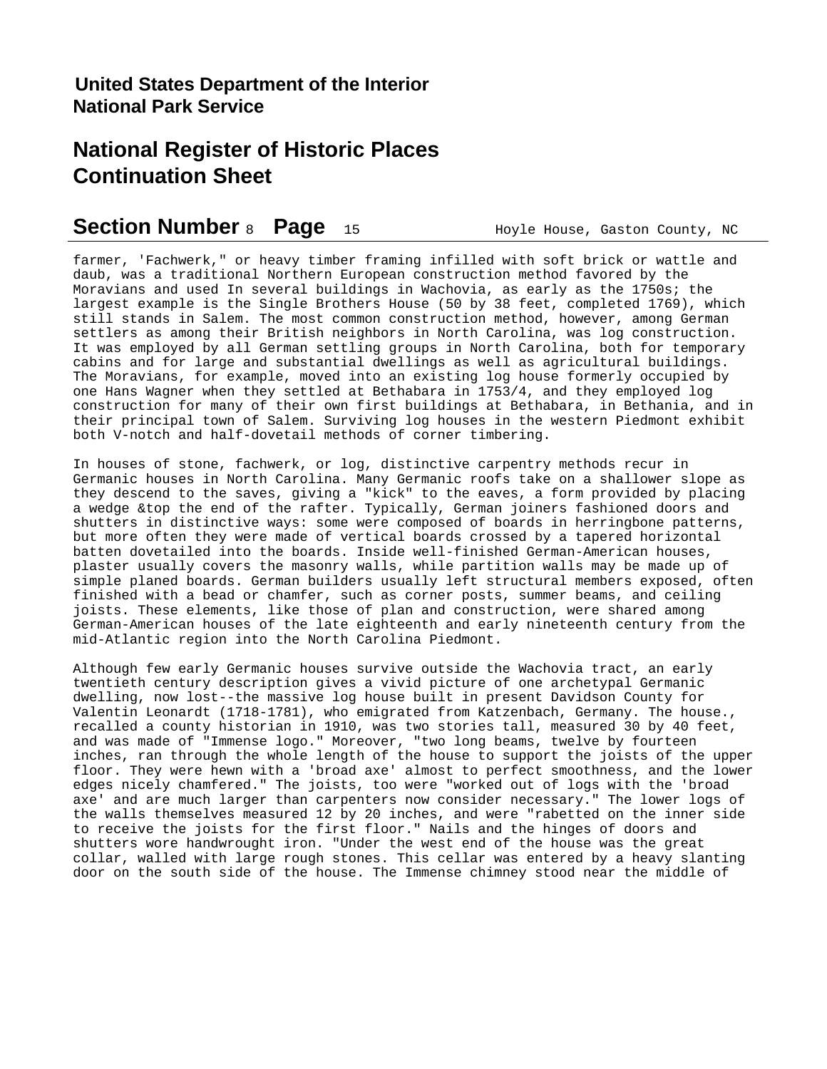## **Section Number** 8 **Page** 15 **Hoyle House, Gaston County, NC**

farmer, 'Fachwerk," or heavy timber framing infilled with soft brick or wattle and daub, was a traditional Northern European construction method favored by the Moravians and used In several buildings in Wachovia, as early as the 1750s; the largest example is the Single Brothers House (50 by 38 feet, completed 1769), which still stands in Salem. The most common construction method, however, among German settlers as among their British neighbors in North Carolina, was log construction. It was employed by all German settling groups in North Carolina, both for temporary cabins and for large and substantial dwellings as well as agricultural buildings. The Moravians, for example, moved into an existing log house formerly occupied by one Hans Wagner when they settled at Bethabara in 1753/4, and they employed log construction for many of their own first buildings at Bethabara, in Bethania, and in their principal town of Salem. Surviving log houses in the western Piedmont exhibit both V-notch and half-dovetail methods of corner timbering.

In houses of stone, fachwerk, or log, distinctive carpentry methods recur in Germanic houses in North Carolina. Many Germanic roofs take on a shallower slope as they descend to the saves, giving a "kick" to the eaves, a form provided by placing a wedge &top the end of the rafter. Typically, German joiners fashioned doors and shutters in distinctive ways: some were composed of boards in herringbone patterns, but more often they were made of vertical boards crossed by a tapered horizontal batten dovetailed into the boards. Inside well-finished German-American houses, plaster usually covers the masonry walls, while partition walls may be made up of simple planed boards. German builders usually left structural members exposed, often finished with a bead or chamfer, such as corner posts, summer beams, and ceiling joists. These elements, like those of plan and construction, were shared among German-American houses of the late eighteenth and early nineteenth century from the mid-Atlantic region into the North Carolina Piedmont.

Although few early Germanic houses survive outside the Wachovia tract, an early twentieth century description gives a vivid picture of one archetypal Germanic dwelling, now lost--the massive log house built in present Davidson County for Valentin Leonardt (1718-1781), who emigrated from Katzenbach, Germany. The house., recalled a county historian in 1910, was two stories tall, measured 30 by 40 feet, and was made of "Immense logo." Moreover, "two long beams, twelve by fourteen inches, ran through the whole length of the house to support the joists of the upper floor. They were hewn with a 'broad axe' almost to perfect smoothness, and the lower edges nicely chamfered." The joists, too were "worked out of logs with the 'broad axe' and are much larger than carpenters now consider necessary." The lower logs of the walls themselves measured 12 by 20 inches, and were "rabetted on the inner side to receive the joists for the first floor." Nails and the hinges of doors and shutters wore handwrought iron. "Under the west end of the house was the great collar, walled with large rough stones. This cellar was entered by a heavy slanting door on the south side of the house. The Immense chimney stood near the middle of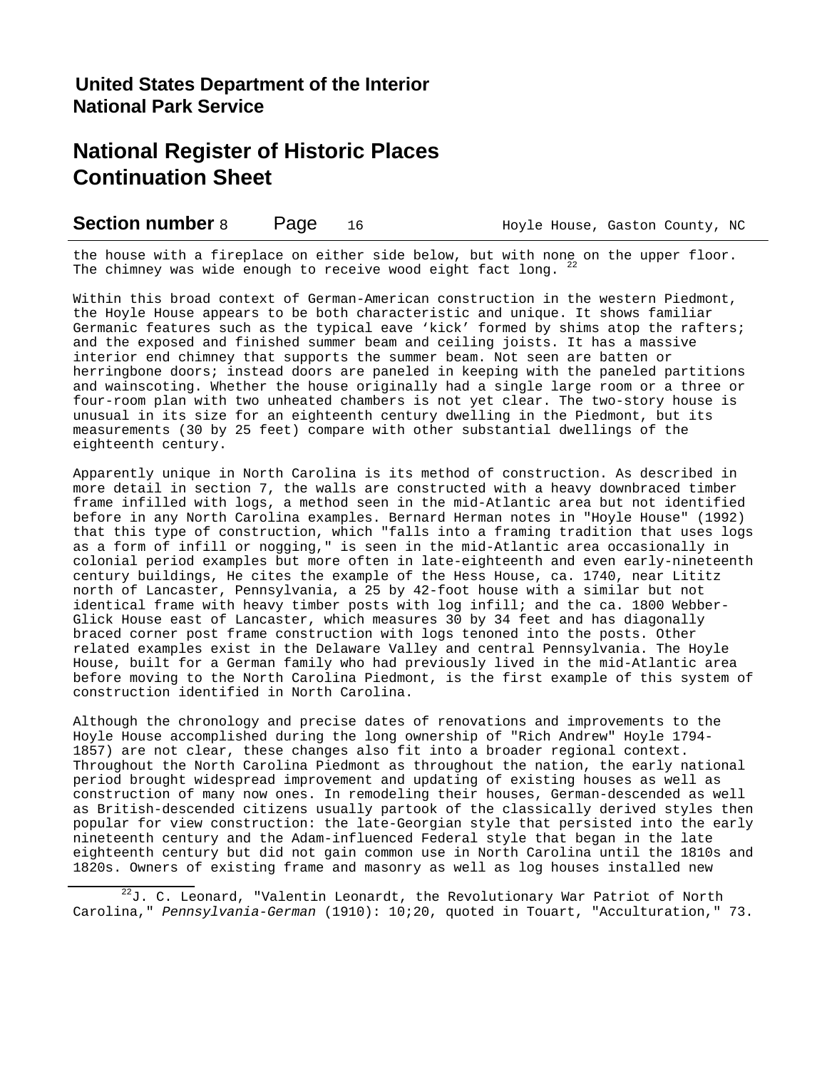| <b>Section number 8</b><br>Page | Hoyle House, Gaston County, NC |
|---------------------------------|--------------------------------|
|---------------------------------|--------------------------------|

the house with a fireplace on either side below, but with none on the upper floor. The chimney was wide enough to receive wood eight fact long.  $22$ 

Within this broad context of German-American construction in the western Piedmont, the Hoyle House appears to be both characteristic and unique. It shows familiar Germanic features such as the typical eave 'kick' formed by shims atop the rafters; and the exposed and finished summer beam and ceiling joists. It has a massive interior end chimney that supports the summer beam. Not seen are batten or herringbone doors; instead doors are paneled in keeping with the paneled partitions and wainscoting. Whether the house originally had a single large room or a three or four-room plan with two unheated chambers is not yet clear. The two-story house is unusual in its size for an eighteenth century dwelling in the Piedmont, but its measurements (30 by 25 feet) compare with other substantial dwellings of the eighteenth century.

Apparently unique in North Carolina is its method of construction. As described in more detail in section 7, the walls are constructed with a heavy downbraced timber frame infilled with logs, a method seen in the mid-Atlantic area but not identified before in any North Carolina examples. Bernard Herman notes in "Hoyle House" (1992) that this type of construction, which "falls into a framing tradition that uses logs as a form of infill or nogging," is seen in the mid-Atlantic area occasionally in colonial period examples but more often in late-eighteenth and even early-nineteenth century buildings, He cites the example of the Hess House, ca. 1740, near Lititz north of Lancaster, Pennsylvania, a 25 by 42-foot house with a similar but not identical frame with heavy timber posts with log infill; and the ca. 1800 Webber-Glick House east of Lancaster, which measures 30 by 34 feet and has diagonally braced corner post frame construction with logs tenoned into the posts. Other related examples exist in the Delaware Valley and central Pennsylvania. The Hoyle House, built for a German family who had previously lived in the mid-Atlantic area before moving to the North Carolina Piedmont, is the first example of this system of construction identified in North Carolina.

Although the chronology and precise dates of renovations and improvements to the Hoyle House accomplished during the long ownership of "Rich Andrew" Hoyle 1794- 1857) are not clear, these changes also fit into a broader regional context. Throughout the North Carolina Piedmont as throughout the nation, the early national period brought widespread improvement and updating of existing houses as well as construction of many now ones. In remodeling their houses, German-descended as well as British-descended citizens usually partook of the classically derived styles then popular for view construction: the late-Georgian style that persisted into the early nineteenth century and the Adam-influenced Federal style that began in the late eighteenth century but did not gain common use in North Carolina until the 1810s and 1820s. Owners of existing frame and masonry as well as log houses installed new

 $22$ J. C. Leonard, "Valentin Leonardt, the Revolutionary War Patriot of North Carolina," *Pennsylvania-German* (1910): 10;20, quoted in Touart, "Acculturation," 73.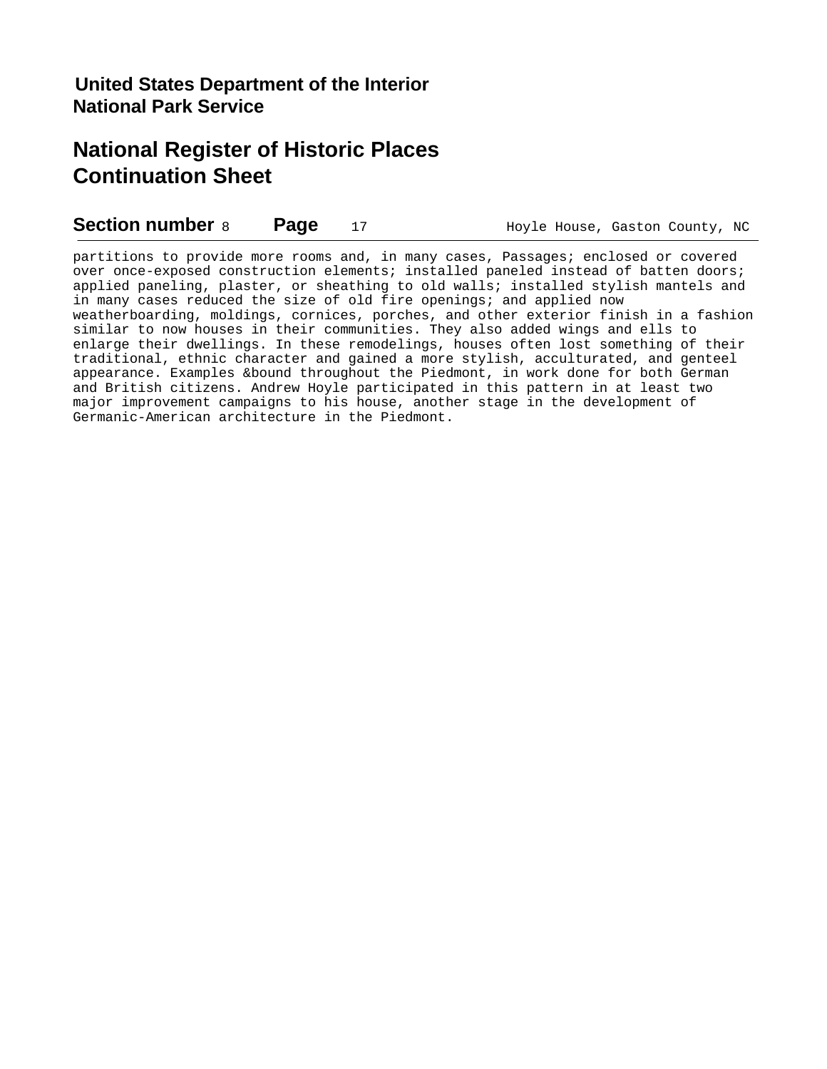**Section number** 8 **Page** 17 **Hoyle House, Gaston County, NC** 

partitions to provide more rooms and, in many cases, Passages; enclosed or covered over once-exposed construction elements; installed paneled instead of batten doors; applied paneling, plaster, or sheathing to old walls; installed stylish mantels and in many cases reduced the size of old fire openings; and applied now weatherboarding, moldings, cornices, porches, and other exterior finish in a fashion similar to now houses in their communities. They also added wings and ells to enlarge their dwellings. In these remodelings, houses often lost something of their traditional, ethnic character and gained a more stylish, acculturated, and genteel appearance. Examples &bound throughout the Piedmont, in work done for both German and British citizens. Andrew Hoyle participated in this pattern in at least two major improvement campaigns to his house, another stage in the development of Germanic-American architecture in the Piedmont.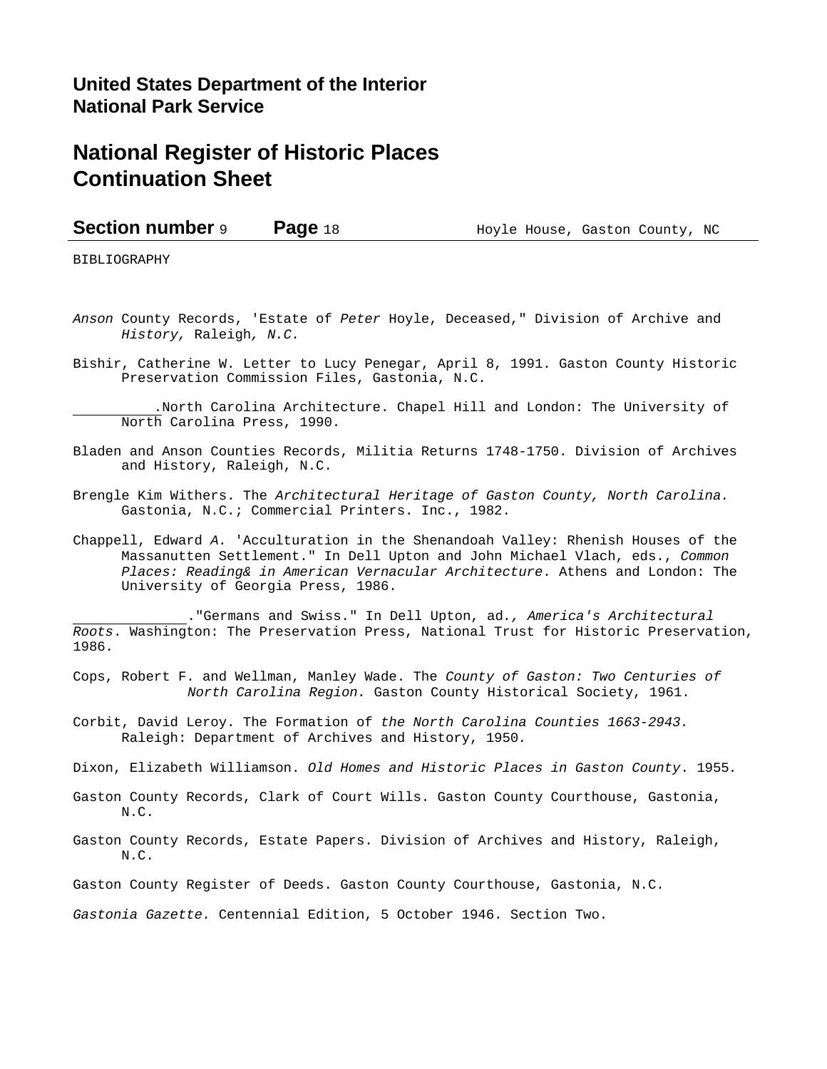## **United States Department of the Interior National Park Service**

## **National Register of Historic Places Continuation Sheet**

**Section number 9 Page 18** Hoyle House, Gaston County, NC

BIBLIOGRAPHY

- *Anson* County Records, 'Estate of *Peter* Hoyle, Deceased," Division of Archive and *History,* Raleigh*, N.C.*
- Bishir, Catherine W. Letter to Lucy Penegar, April 8, 1991. Gaston County Historic Preservation Commission Files, Gastonia, N.C.

 .North Carolina Architecture. Chapel Hill and London: The University of North Carolina Press, 1990.

- Bladen and Anson Counties Records, Militia Returns 1748-1750. Division of Archives and History, Raleigh, N.C.
- Brengle Kim Withers. The *Architectural Heritage of Gaston County, North Carolina.* Gastonia, N.C.; Commercial Printers. Inc., 1982.
- Chappell, Edward *A.* 'Acculturation in the Shenandoah Valley: Rhenish Houses of the Massanutten Settlement." In Dell Upton and John Michael Vlach, eds., *Common Places: Reading& in American Vernacular Architecture*. Athens and London: The University of Georgia Press, 1986.

 ."Germans and Swiss." In Dell Upton, ad*., America's Architectural Roots*. Washington: The Preservation Press, National Trust for Historic Preservation, 1986.

Cops, Robert F. and Wellman, Manley Wade. The *County of Gaston: Two Centuries of North Carolina Region.* Gaston County Historical Society, 1961.

- Corbit, David Leroy. The Formation of *the North Carolina Counties 1663-2943.* Raleigh: Department of Archives and History, 1950*.*
- Dixon, Elizabeth Williamson. *Old Homes and Historic Places in Gaston County*. 1955*.*
- Gaston County Records, Clark of Court Wills. Gaston County Courthouse, Gastonia, N.C.
- Gaston County Records, Estate Papers. Division of Archives and History, Raleigh, N.C.
- Gaston County Register of Deeds. Gaston County Courthouse, Gastonia, N.C.

*Gastonia Gazette.* Centennial Edition, 5 October 1946. Section Two.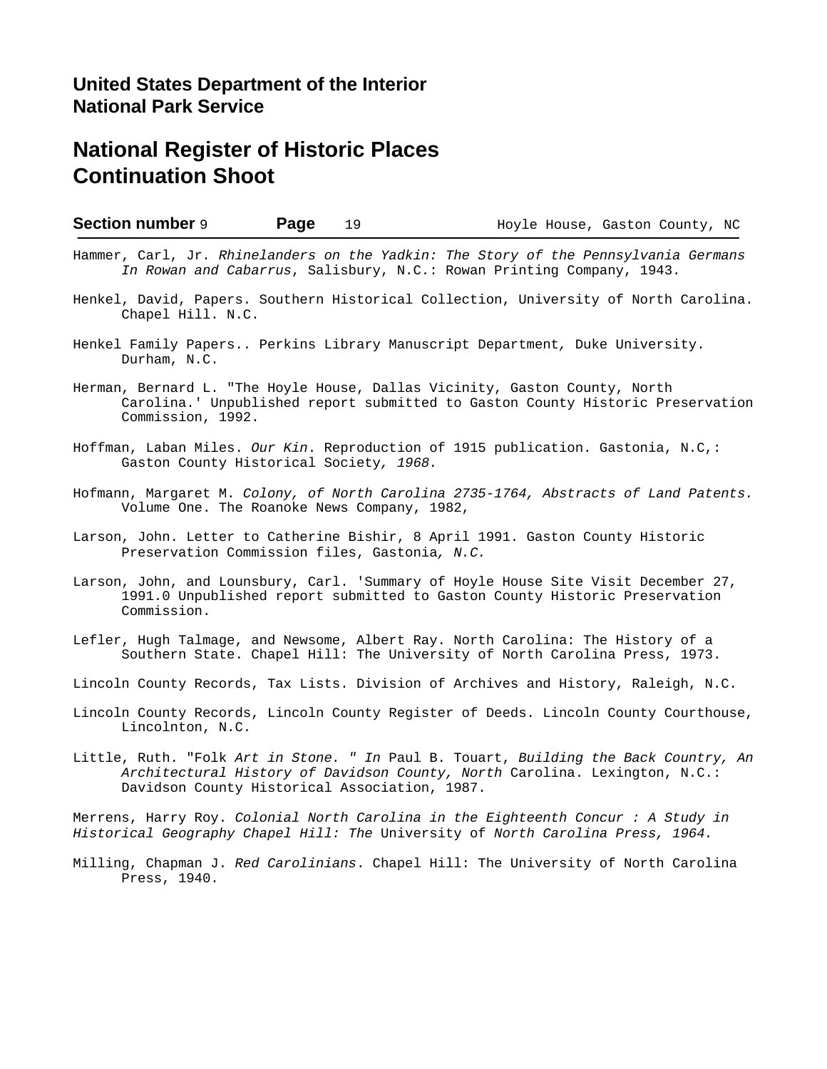Chapel Hill. N.C.

| <b>Section number 9</b> | Page                                                                                                                                                         | 19 | Hoyle House, Gaston County, NC |  |
|-------------------------|--------------------------------------------------------------------------------------------------------------------------------------------------------------|----|--------------------------------|--|
|                         | Hammer, Carl, Jr. Rhinelanders on the Yadkin: The Story of the Pennsylvania Germans<br>In Rowan and Cabarrus, Salisbury, N.C.: Rowan Printing Company, 1943. |    |                                |  |
|                         | Henkel, David, Papers. Southern Historical Collection, University of North Carolina.                                                                         |    |                                |  |

- Henkel Family Papers.. Perkins Library Manuscript Department*,* Duke University. Durham, N.C.
- Herman, Bernard L. "The Hoyle House, Dallas Vicinity, Gaston County, North Carolina.' Unpublished report submitted to Gaston County Historic Preservation Commission, 1992.
- Hoffman, Laban Miles. *Our Kin*. Reproduction of 1915 publication. Gastonia, N.C,: Gaston County Historical Society*, 1968.*
- Hofmann, Margaret M. *Colony, of North Carolina 2735-1764, Abstracts of Land Patents.* Volume One. The Roanoke News Company, 1982,
- Larson, John. Letter to Catherine Bishir, 8 April 1991. Gaston County Historic Preservation Commission files, Gastonia*, N.C.*
- Larson, John, and Lounsbury, Carl. 'Summary of Hoyle House Site Visit December 27, 1991.0 Unpublished report submitted to Gaston County Historic Preservation Commission.
- Lefler, Hugh Talmage, and Newsome, Albert Ray. North Carolina: The History of a Southern State. Chapel Hill: The University of North Carolina Press, 1973.
- Lincoln County Records, Tax Lists. Division of Archives and History, Raleigh, N.C.
- Lincoln County Records, Lincoln County Register of Deeds. Lincoln County Courthouse, Lincolnton, N.C.
- Little, Ruth. "Folk *Art in Stone. " In* Paul B. Touart, *Building the Back Country, An Architectural History of Davidson County, North* Carolina. Lexington, N.C.: Davidson County Historical Association, 1987.

Merrens, Harry Roy. *Colonial North Carolina in the Eighteenth Concur : A Study in Historical Geography Chapel Hill: The* University of *North Carolina Press, 1964.*

Milling, Chapman J. *Red Carolinians*. Chapel Hill: The University of North Carolina Press, 1940.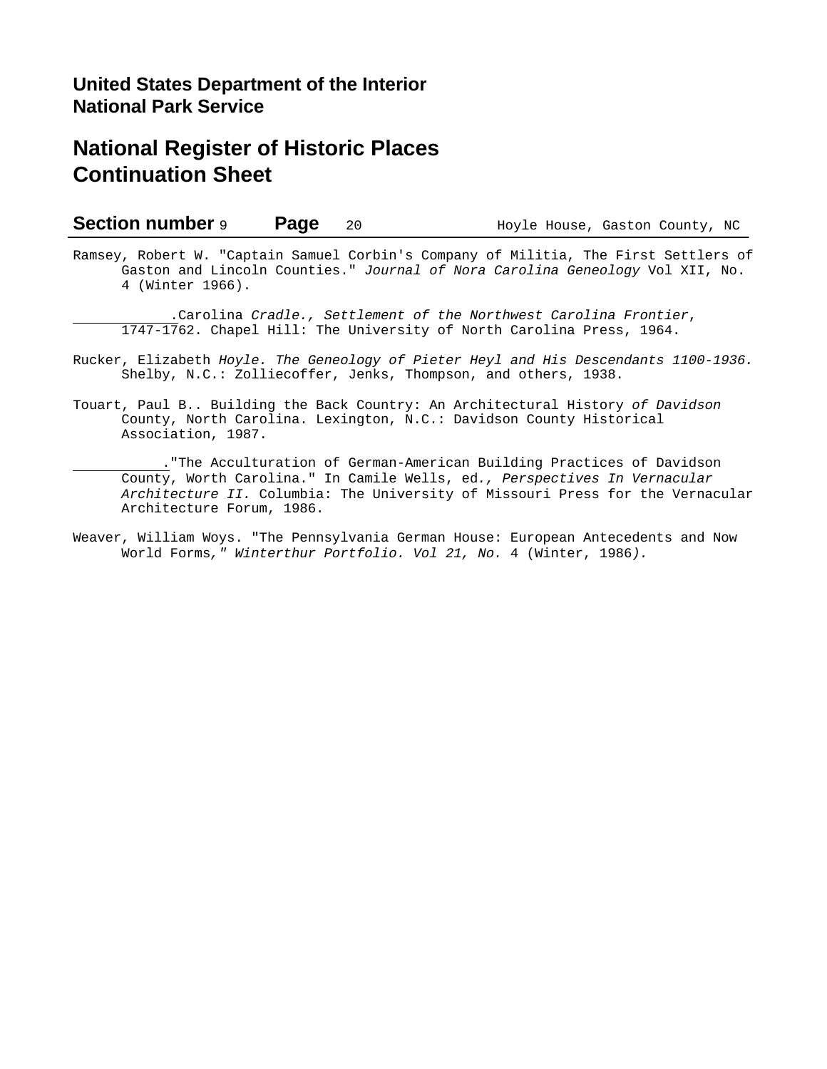### **Section number 9 Page** 20 Hoyle House, Gaston County, NC

Ramsey, Robert W. "Captain Samuel Corbin's Company of Militia, The First Settlers of Gaston and Lincoln Counties." *Journal of Nora Carolina Geneology* Vol XII, No. 4 (Winter 1966).

 .Carolina *Cradle., Settlement of the Northwest Carolina Frontier*, 1747-1762. Chapel Hill: The University of North Carolina Press, 1964.

- Rucker, Elizabeth *Hoyle. The Geneology of Pieter Heyl and His Descendants 1100-1936.* Shelby, N.C.: Zolliecoffer, Jenks, Thompson, and others, 1938.
- Touart, Paul B.. Building the Back Country: An Architectural History *of Davidson* County, North Carolina. Lexington, N.C.: Davidson County Historical Association, 1987.

 ."The Acculturation of German-American Building Practices of Davidson County, Worth Carolina." In Camile Wells, ed*., Perspectives In Vernacular Architecture II.* Columbia: The University of Missouri Press for the Vernacular Architecture Forum, 1986.

Weaver, William Woys. "The Pennsylvania German House: European Antecedents and Now World Forms*," Winterthur Portfolio. Vol 21, No.* 4 (Winter, 1986*).*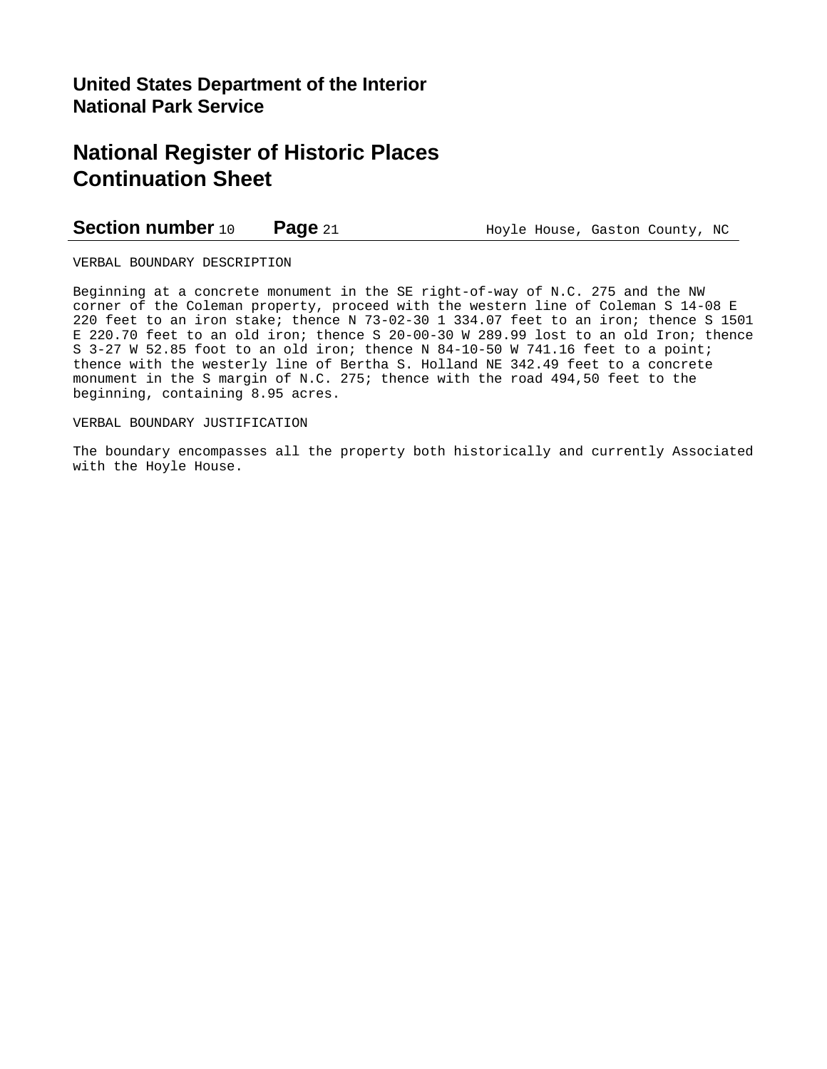### **Section number** 10 **Page** 21 **Hoyle House, Gaston County, NC**

VERBAL BOUNDARY DESCRIPTION

Beginning at a concrete monument in the SE right-of-way of N.C. 275 and the NW corner of the Coleman property, proceed with the western line of Coleman S 14-08 E 220 feet to an iron stake; thence N 73-02-30 1 334.07 feet to an iron; thence S 1501 E 220.70 feet to an old iron; thence S 20-00-30 W 289.99 lost to an old Iron; thence S 3-27 W 52.85 foot to an old iron; thence N 84-10-50 W 741.16 feet to a point; thence with the westerly line of Bertha S. Holland NE 342.49 feet to a concrete monument in the S margin of N.C. 275; thence with the road 494,50 feet to the beginning, containing 8.95 acres.

### VERBAL BOUNDARY JUSTIFICATION

The boundary encompasses all the property both historically and currently Associated with the Hoyle House.